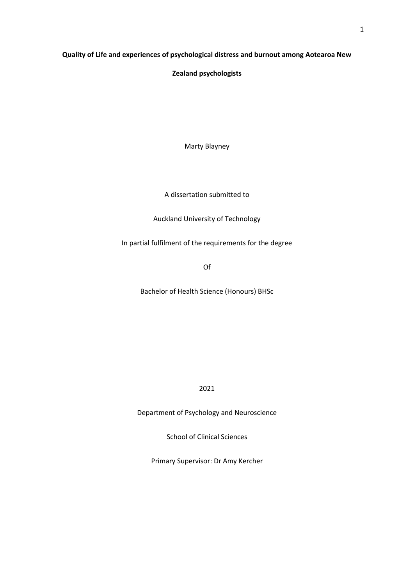# **Quality of Life and experiences of psychological distress and burnout among Aotearoa New**

**Zealand psychologists**

Marty Blayney

A dissertation submitted to

Auckland University of Technology

In partial fulfilment of the requirements for the degree

Of

Bachelor of Health Science (Honours) BHSc

2021

Department of Psychology and Neuroscience

School of Clinical Sciences

Primary Supervisor: Dr Amy Kercher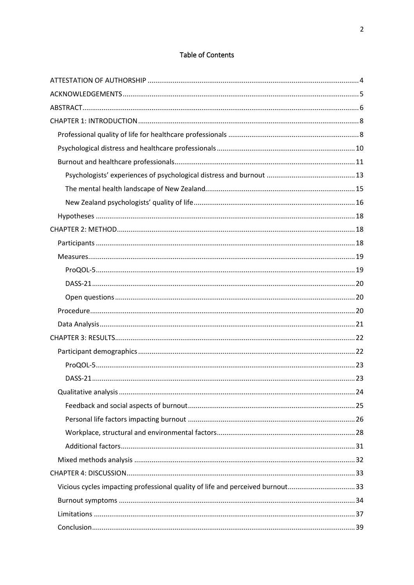# Table of Contents

| Vicious cycles impacting professional quality of life and perceived burnout33 |  |
|-------------------------------------------------------------------------------|--|
|                                                                               |  |
|                                                                               |  |
|                                                                               |  |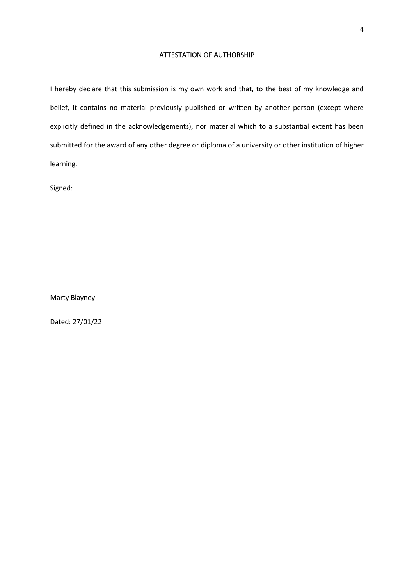# ATTESTATION OF AUTHORSHIP

<span id="page-3-0"></span>I hereby declare that this submission is my own work and that, to the best of my knowledge and belief, it contains no material previously published or written by another person (except where explicitly defined in the acknowledgements), nor material which to a substantial extent has been submitted for the award of any other degree or diploma of a university or other institution of higher learning.

Signed:

Marty Blayney

Dated: 27/01/22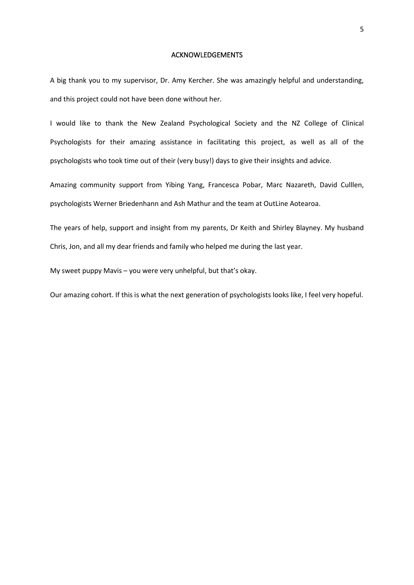#### ACKNOWLEDGEMENTS

<span id="page-4-0"></span>A big thank you to my supervisor, Dr. Amy Kercher. She was amazingly helpful and understanding, and this project could not have been done without her.

I would like to thank the New Zealand Psychological Society and the NZ College of Clinical Psychologists for their amazing assistance in facilitating this project, as well as all of the psychologists who took time out of their (very busy!) days to give their insights and advice.

Amazing community support from Yibing Yang, Francesca Pobar, Marc Nazareth, David Culllen, psychologists Werner Briedenhann and Ash Mathur and the team at OutLine Aotearoa.

The years of help, support and insight from my parents, Dr Keith and Shirley Blayney. My husband Chris, Jon, and all my dear friends and family who helped me during the last year.

My sweet puppy Mavis – you were very unhelpful, but that's okay.

Our amazing cohort. If this is what the next generation of psychologists looks like, I feel very hopeful.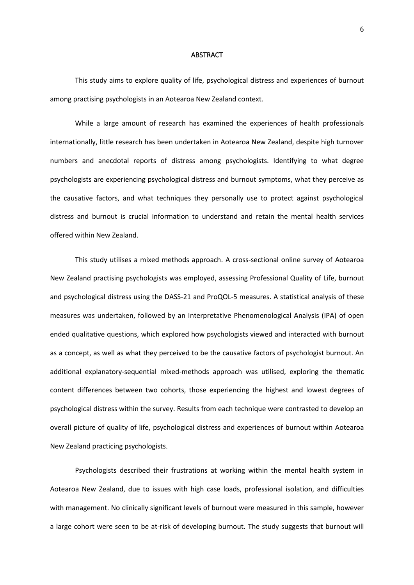#### **ABSTRACT**

<span id="page-5-0"></span>This study aims to explore quality of life, psychological distress and experiences of burnout among practising psychologists in an Aotearoa New Zealand context.

While a large amount of research has examined the experiences of health professionals internationally, little research has been undertaken in Aotearoa New Zealand, despite high turnover numbers and anecdotal reports of distress among psychologists. Identifying to what degree psychologists are experiencing psychological distress and burnout symptoms, what they perceive as the causative factors, and what techniques they personally use to protect against psychological distress and burnout is crucial information to understand and retain the mental health services offered within New Zealand.

This study utilises a mixed methods approach. A cross-sectional online survey of Aotearoa New Zealand practising psychologists was employed, assessing Professional Quality of Life, burnout and psychological distress using the DASS-21 and ProQOL-5 measures. A statistical analysis of these measures was undertaken, followed by an Interpretative Phenomenological Analysis (IPA) of open ended qualitative questions, which explored how psychologists viewed and interacted with burnout as a concept, as well as what they perceived to be the causative factors of psychologist burnout. An additional explanatory-sequential mixed-methods approach was utilised, exploring the thematic content differences between two cohorts, those experiencing the highest and lowest degrees of psychological distress within the survey. Results from each technique were contrasted to develop an overall picture of quality of life, psychological distress and experiences of burnout within Aotearoa New Zealand practicing psychologists.

Psychologists described their frustrations at working within the mental health system in Aotearoa New Zealand, due to issues with high case loads, professional isolation, and difficulties with management. No clinically significant levels of burnout were measured in this sample, however a large cohort were seen to be at-risk of developing burnout. The study suggests that burnout will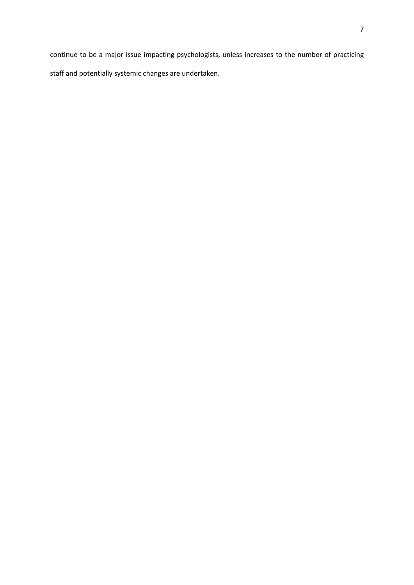continue to be a major issue impacting psychologists, unless increases to the number of practicing staff and potentially systemic changes are undertaken.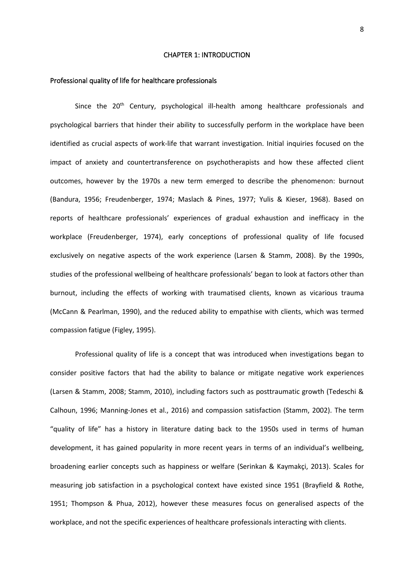#### CHAPTER 1: INTRODUCTION

#### <span id="page-7-1"></span><span id="page-7-0"></span>Professional quality of life for healthcare professionals

Since the 20<sup>th</sup> Century, psychological ill-health among healthcare professionals and psychological barriers that hinder their ability to successfully perform in the workplace have been identified as crucial aspects of work-life that warrant investigation. Initial inquiries focused on the impact of anxiety and countertransference on psychotherapists and how these affected client outcomes, however by the 1970s a new term emerged to describe the phenomenon: burnout (Bandura, 1956; Freudenberger, 1974; Maslach & Pines, 1977; Yulis & Kieser, 1968). Based on reports of healthcare professionals' experiences of gradual exhaustion and inefficacy in the workplace (Freudenberger, 1974), early conceptions of professional quality of life focused exclusively on negative aspects of the work experience (Larsen & Stamm, 2008). By the 1990s, studies of the professional wellbeing of healthcare professionals' began to look at factors other than burnout, including the effects of working with traumatised clients, known as vicarious trauma (McCann & Pearlman, 1990), and the reduced ability to empathise with clients, which was termed compassion fatigue (Figley, 1995).

Professional quality of life is a concept that was introduced when investigations began to consider positive factors that had the ability to balance or mitigate negative work experiences (Larsen & Stamm, 2008; Stamm, 2010), including factors such as posttraumatic growth (Tedeschi & Calhoun, 1996; Manning-Jones et al., 2016) and compassion satisfaction (Stamm, 2002). The term "quality of life" has a history in literature dating back to the 1950s used in terms of human development, it has gained popularity in more recent years in terms of an individual's wellbeing, broadening earlier concepts such as happiness or welfare (Serinkan & Kaymakçi, 2013). Scales for measuring job satisfaction in a psychological context have existed since 1951 (Brayfield & Rothe, 1951; Thompson & Phua, 2012), however these measures focus on generalised aspects of the workplace, and not the specific experiences of healthcare professionals interacting with clients.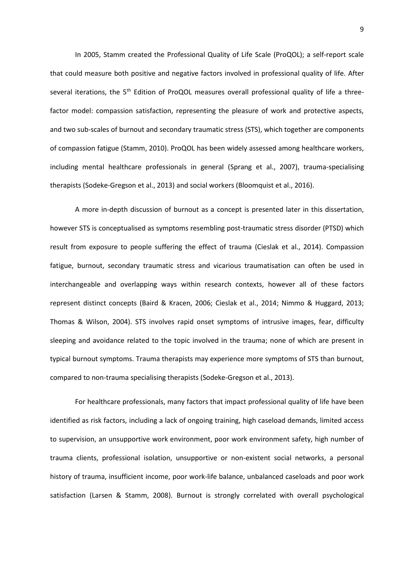In 2005, Stamm created the Professional Quality of Life Scale (ProQOL); a self-report scale that could measure both positive and negative factors involved in professional quality of life. After several iterations, the 5<sup>th</sup> Edition of ProQOL measures overall professional quality of life a threefactor model: compassion satisfaction, representing the pleasure of work and protective aspects, and two sub-scales of burnout and secondary traumatic stress (STS), which together are components of compassion fatigue (Stamm, 2010). ProQOL has been widely assessed among healthcare workers, including mental healthcare professionals in general (Sprang et al., 2007), trauma-specialising therapists (Sodeke-Gregson et al., 2013) and social workers (Bloomquist et al., 2016).

A more in-depth discussion of burnout as a concept is presented later in this dissertation, however STS is conceptualised as symptoms resembling post-traumatic stress disorder (PTSD) which result from exposure to people suffering the effect of trauma (Cieslak et al., 2014). Compassion fatigue, burnout, secondary traumatic stress and vicarious traumatisation can often be used in interchangeable and overlapping ways within research contexts, however all of these factors represent distinct concepts (Baird & Kracen, 2006; Cieslak et al., 2014; Nimmo & Huggard, 2013; Thomas & Wilson, 2004). STS involves rapid onset symptoms of intrusive images, fear, difficulty sleeping and avoidance related to the topic involved in the trauma; none of which are present in typical burnout symptoms. Trauma therapists may experience more symptoms of STS than burnout, compared to non-trauma specialising therapists (Sodeke-Gregson et al., 2013).

For healthcare professionals, many factors that impact professional quality of life have been identified as risk factors, including a lack of ongoing training, high caseload demands, limited access to supervision, an unsupportive work environment, poor work environment safety, high number of trauma clients, professional isolation, unsupportive or non-existent social networks, a personal history of trauma, insufficient income, poor work-life balance, unbalanced caseloads and poor work satisfaction (Larsen & Stamm, 2008). Burnout is strongly correlated with overall psychological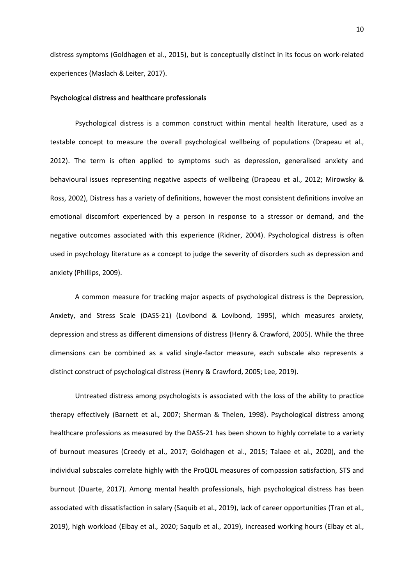distress symptoms (Goldhagen et al., 2015), but is conceptually distinct in its focus on work-related experiences (Maslach & Leiter, 2017).

## <span id="page-9-0"></span>Psychological distress and healthcare professionals

Psychological distress is a common construct within mental health literature, used as a testable concept to measure the overall psychological wellbeing of populations (Drapeau et al., 2012). The term is often applied to symptoms such as depression, generalised anxiety and behavioural issues representing negative aspects of wellbeing (Drapeau et al., 2012; Mirowsky & Ross, 2002), Distress has a variety of definitions, however the most consistent definitions involve an emotional discomfort experienced by a person in response to a stressor or demand, and the negative outcomes associated with this experience (Ridner, 2004). Psychological distress is often used in psychology literature as a concept to judge the severity of disorders such as depression and anxiety (Phillips, 2009).

A common measure for tracking major aspects of psychological distress is the Depression, Anxiety, and Stress Scale (DASS-21) (Lovibond & Lovibond, 1995), which measures anxiety, depression and stress as different dimensions of distress (Henry & Crawford, 2005). While the three dimensions can be combined as a valid single-factor measure, each subscale also represents a distinct construct of psychological distress (Henry & Crawford, 2005; Lee, 2019).

Untreated distress among psychologists is associated with the loss of the ability to practice therapy effectively (Barnett et al., 2007; Sherman & Thelen, 1998). Psychological distress among healthcare professions as measured by the DASS-21 has been shown to highly correlate to a variety of burnout measures (Creedy et al., 2017; Goldhagen et al., 2015; Talaee et al., 2020), and the individual subscales correlate highly with the ProQOL measures of compassion satisfaction, STS and burnout (Duarte, 2017). Among mental health professionals, high psychological distress has been associated with dissatisfaction in salary (Saquib et al., 2019), lack of career opportunities (Tran et al., 2019), high workload (Elbay et al., 2020; Saquib et al., 2019), increased working hours (Elbay et al.,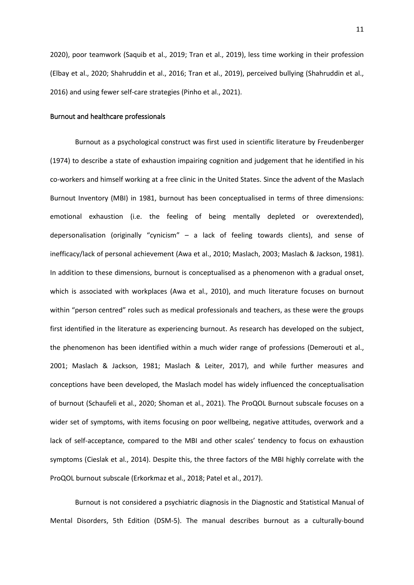2020), poor teamwork (Saquib et al., 2019; Tran et al., 2019), less time working in their profession (Elbay et al., 2020; Shahruddin et al., 2016; Tran et al., 2019), perceived bullying (Shahruddin et al., 2016) and using fewer self-care strategies (Pinho et al., 2021).

## <span id="page-10-0"></span>Burnout and healthcare professionals

Burnout as a psychological construct was first used in scientific literature by Freudenberger (1974) to describe a state of exhaustion impairing cognition and judgement that he identified in his co-workers and himself working at a free clinic in the United States. Since the advent of the Maslach Burnout Inventory (MBI) in 1981, burnout has been conceptualised in terms of three dimensions: emotional exhaustion (i.e. the feeling of being mentally depleted or overextended), depersonalisation (originally "cynicism" – a lack of feeling towards clients), and sense of inefficacy/lack of personal achievement (Awa et al., 2010; Maslach, 2003; Maslach & Jackson, 1981). In addition to these dimensions, burnout is conceptualised as a phenomenon with a gradual onset, which is associated with workplaces (Awa et al., 2010), and much literature focuses on burnout within "person centred" roles such as medical professionals and teachers, as these were the groups first identified in the literature as experiencing burnout. As research has developed on the subject, the phenomenon has been identified within a much wider range of professions (Demerouti et al., 2001; Maslach & Jackson, 1981; Maslach & Leiter, 2017), and while further measures and conceptions have been developed, the Maslach model has widely influenced the conceptualisation of burnout (Schaufeli et al., 2020; Shoman et al., 2021). The ProQOL Burnout subscale focuses on a wider set of symptoms, with items focusing on poor wellbeing, negative attitudes, overwork and a lack of self-acceptance, compared to the MBI and other scales' tendency to focus on exhaustion symptoms (Cieslak et al., 2014). Despite this, the three factors of the MBI highly correlate with the ProQOL burnout subscale (Erkorkmaz et al., 2018; Patel et al., 2017).

Burnout is not considered a psychiatric diagnosis in the Diagnostic and Statistical Manual of Mental Disorders, 5th Edition (DSM-5). The manual describes burnout as a culturally-bound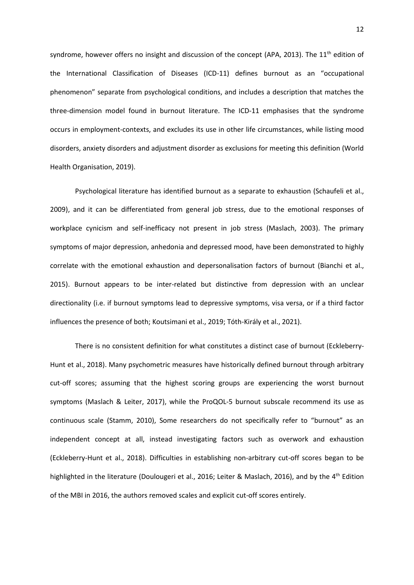syndrome, however offers no insight and discussion of the concept (APA, 2013). The  $11<sup>th</sup>$  edition of the International Classification of Diseases (ICD-11) defines burnout as an "occupational phenomenon" separate from psychological conditions, and includes a description that matches the three-dimension model found in burnout literature. The ICD-11 emphasises that the syndrome occurs in employment-contexts, and excludes its use in other life circumstances, while listing mood disorders, anxiety disorders and adjustment disorder as exclusions for meeting this definition (World Health Organisation, 2019).

Psychological literature has identified burnout as a separate to exhaustion (Schaufeli et al., 2009), and it can be differentiated from general job stress, due to the emotional responses of workplace cynicism and self-inefficacy not present in job stress (Maslach, 2003). The primary symptoms of major depression, anhedonia and depressed mood, have been demonstrated to highly correlate with the emotional exhaustion and depersonalisation factors of burnout (Bianchi et al., 2015). Burnout appears to be inter-related but distinctive from depression with an unclear directionality (i.e. if burnout symptoms lead to depressive symptoms, visa versa, or if a third factor influences the presence of both; Koutsimani et al., 2019; Tóth-Király et al., 2021).

There is no consistent definition for what constitutes a distinct case of burnout (Eckleberry-Hunt et al., 2018). Many psychometric measures have historically defined burnout through arbitrary cut-off scores; assuming that the highest scoring groups are experiencing the worst burnout symptoms (Maslach & Leiter, 2017), while the ProQOL-5 burnout subscale recommend its use as continuous scale (Stamm, 2010), Some researchers do not specifically refer to "burnout" as an independent concept at all, instead investigating factors such as overwork and exhaustion (Eckleberry-Hunt et al., 2018). Difficulties in establishing non-arbitrary cut-off scores began to be highlighted in the literature (Doulougeri et al., 2016; Leiter & Maslach, 2016), and by the 4<sup>th</sup> Edition of the MBI in 2016, the authors removed scales and explicit cut-off scores entirely.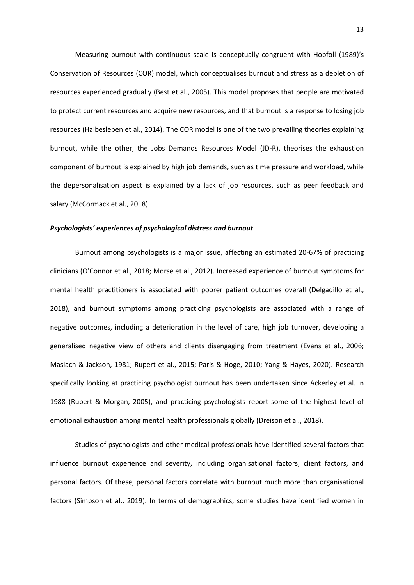Measuring burnout with continuous scale is conceptually congruent with Hobfoll (1989)'s Conservation of Resources (COR) model, which conceptualises burnout and stress as a depletion of resources experienced gradually (Best et al., 2005). This model proposes that people are motivated to protect current resources and acquire new resources, and that burnout is a response to losing job resources (Halbesleben et al., 2014). The COR model is one of the two prevailing theories explaining burnout, while the other, the Jobs Demands Resources Model (JD-R), theorises the exhaustion component of burnout is explained by high job demands, such as time pressure and workload, while the depersonalisation aspect is explained by a lack of job resources, such as peer feedback and salary (McCormack et al., 2018).

## <span id="page-12-0"></span>*Psychologists' experiences of psychological distress and burnout*

Burnout among psychologists is a major issue, affecting an estimated 20-67% of practicing clinicians (O'Connor et al., 2018; Morse et al., 2012). Increased experience of burnout symptoms for mental health practitioners is associated with poorer patient outcomes overall (Delgadillo et al., 2018), and burnout symptoms among practicing psychologists are associated with a range of negative outcomes, including a deterioration in the level of care, high job turnover, developing a generalised negative view of others and clients disengaging from treatment (Evans et al., 2006; Maslach & Jackson, 1981; Rupert et al., 2015; Paris & Hoge, 2010; Yang & Hayes, 2020). Research specifically looking at practicing psychologist burnout has been undertaken since Ackerley et al. in 1988 (Rupert & Morgan, 2005), and practicing psychologists report some of the highest level of emotional exhaustion among mental health professionals globally (Dreison et al., 2018).

Studies of psychologists and other medical professionals have identified several factors that influence burnout experience and severity, including organisational factors, client factors, and personal factors. Of these, personal factors correlate with burnout much more than organisational factors (Simpson et al., 2019). In terms of demographics, some studies have identified women in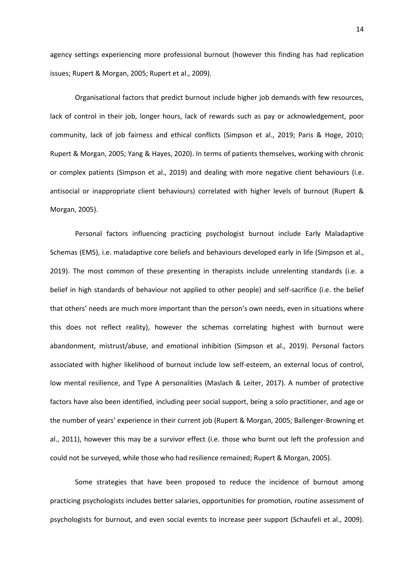agency settings experiencing more professional burnout (however this finding has had replication issues; Rupert & Morgan, 2005; Rupert et al., 2009).

Organisational factors that predict burnout include higher job demands with few resources, lack of control in their job, longer hours, lack of rewards such as pay or acknowledgement, poor community, lack of job fairness and ethical conflicts (Simpson et al., 2019; Paris & Hoge, 2010; Rupert & Morgan, 2005; Yang & Hayes, 2020). In terms of patients themselves, working with chronic or complex patients (Simpson et al., 2019) and dealing with more negative client behaviours (i.e. antisocial or inappropriate client behaviours) correlated with higher levels of burnout (Rupert & Morgan, 2005).

Personal factors influencing practicing psychologist burnout include Early Maladaptive Schemas (EMS), i.e. maladaptive core beliefs and behaviours developed early in life (Simpson et al., 2019). The most common of these presenting in therapists include unrelenting standards (i.e. a belief in high standards of behaviour not applied to other people) and self-sacrifice (i.e. the belief that others' needs are much more important than the person's own needs, even in situations where this does not reflect reality), however the schemas correlating highest with burnout were abandonment, mistrust/abuse, and emotional inhibition (Simpson et al., 2019). Personal factors associated with higher likelihood of burnout include low self-esteem, an external locus of control, low mental resilience, and Type A personalities (Maslach & Leiter, 2017). A number of protective factors have also been identified, including peer social support, being a solo practitioner, and age or the number of years' experience in their current job (Rupert & Morgan, 2005; Ballenger-Browning et al., 2011), however this may be a survivor effect (i.e. those who burnt out left the profession and could not be surveyed, while those who had resilience remained; Rupert & Morgan, 2005).

Some strategies that have been proposed to reduce the incidence of burnout among practicing psychologists includes better salaries, opportunities for promotion, routine assessment of psychologists for burnout, and even social events to increase peer support (Schaufeli et al., 2009).

14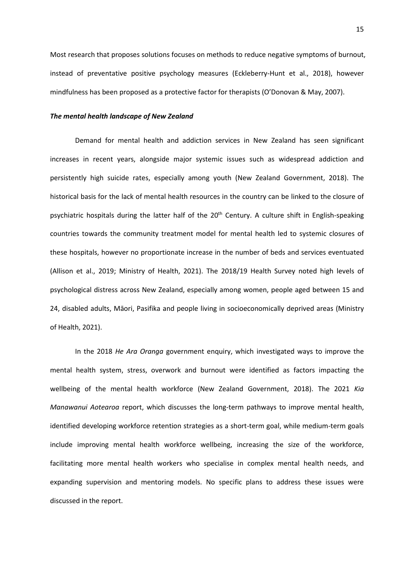Most research that proposes solutions focuses on methods to reduce negative symptoms of burnout, instead of preventative positive psychology measures (Eckleberry-Hunt et al., 2018), however mindfulness has been proposed as a protective factor for therapists (O'Donovan & May, 2007).

#### <span id="page-14-0"></span>*The mental health landscape of New Zealand*

Demand for mental health and addiction services in New Zealand has seen significant increases in recent years, alongside major systemic issues such as widespread addiction and persistently high suicide rates, especially among youth (New Zealand Government, 2018). The historical basis for the lack of mental health resources in the country can be linked to the closure of psychiatric hospitals during the latter half of the  $20<sup>th</sup>$  Century. A culture shift in English-speaking countries towards the community treatment model for mental health led to systemic closures of these hospitals, however no proportionate increase in the number of beds and services eventuated (Allison et al., 2019; Ministry of Health, 2021). The 2018/19 Health Survey noted high levels of psychological distress across New Zealand, especially among women, people aged between 15 and 24, disabled adults, Māori, Pasifika and people living in socioeconomically deprived areas (Ministry of Health, 2021).

In the 2018 *He Ara Oranga* government enquiry, which investigated ways to improve the mental health system, stress, overwork and burnout were identified as factors impacting the wellbeing of the mental health workforce (New Zealand Government, 2018). The 2021 *Kia Manawanui Aotearoa* report, which discusses the long-term pathways to improve mental health, identified developing workforce retention strategies as a short-term goal, while medium-term goals include improving mental health workforce wellbeing, increasing the size of the workforce, facilitating more mental health workers who specialise in complex mental health needs, and expanding supervision and mentoring models. No specific plans to address these issues were discussed in the report.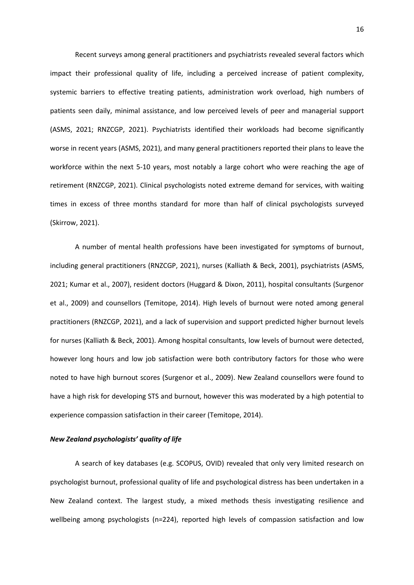Recent surveys among general practitioners and psychiatrists revealed several factors which impact their professional quality of life, including a perceived increase of patient complexity, systemic barriers to effective treating patients, administration work overload, high numbers of patients seen daily, minimal assistance, and low perceived levels of peer and managerial support (ASMS, 2021; RNZCGP, 2021). Psychiatrists identified their workloads had become significantly worse in recent years (ASMS, 2021), and many general practitioners reported their plans to leave the workforce within the next 5-10 years, most notably a large cohort who were reaching the age of retirement (RNZCGP, 2021). Clinical psychologists noted extreme demand for services, with waiting times in excess of three months standard for more than half of clinical psychologists surveyed (Skirrow, 2021).

A number of mental health professions have been investigated for symptoms of burnout, including general practitioners (RNZCGP, 2021), nurses (Kalliath & Beck, 2001), psychiatrists (ASMS, 2021; Kumar et al., 2007), resident doctors (Huggard & Dixon, 2011), hospital consultants (Surgenor et al., 2009) and counsellors (Temitope, 2014). High levels of burnout were noted among general practitioners (RNZCGP, 2021), and a lack of supervision and support predicted higher burnout levels for nurses (Kalliath & Beck, 2001). Among hospital consultants, low levels of burnout were detected, however long hours and low job satisfaction were both contributory factors for those who were noted to have high burnout scores (Surgenor et al., 2009). New Zealand counsellors were found to have a high risk for developing STS and burnout, however this was moderated by a high potential to experience compassion satisfaction in their career (Temitope, 2014).

## <span id="page-15-0"></span>*New Zealand psychologists' quality of life*

A search of key databases (e.g. SCOPUS, OVID) revealed that only very limited research on psychologist burnout, professional quality of life and psychological distress has been undertaken in a New Zealand context. The largest study, a mixed methods thesis investigating resilience and wellbeing among psychologists (n=224), reported high levels of compassion satisfaction and low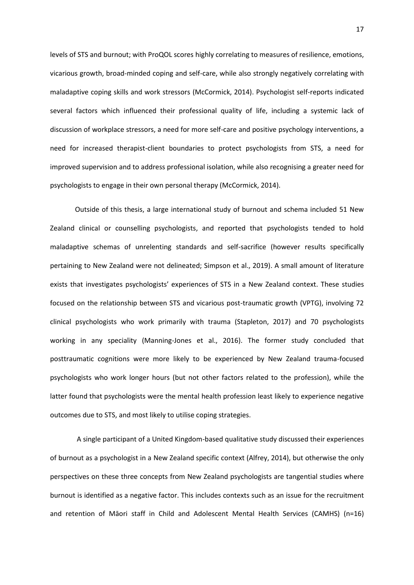levels of STS and burnout; with ProQOL scores highly correlating to measures of resilience, emotions, vicarious growth, broad-minded coping and self-care, while also strongly negatively correlating with maladaptive coping skills and work stressors (McCormick, 2014). Psychologist self-reports indicated several factors which influenced their professional quality of life, including a systemic lack of discussion of workplace stressors, a need for more self-care and positive psychology interventions, a need for increased therapist-client boundaries to protect psychologists from STS, a need for improved supervision and to address professional isolation, while also recognising a greater need for psychologists to engage in their own personal therapy (McCormick, 2014).

Outside of this thesis, a large international study of burnout and schema included 51 New Zealand clinical or counselling psychologists, and reported that psychologists tended to hold maladaptive schemas of unrelenting standards and self-sacrifice (however results specifically pertaining to New Zealand were not delineated; Simpson et al., 2019). A small amount of literature exists that investigates psychologists' experiences of STS in a New Zealand context. These studies focused on the relationship between STS and vicarious post-traumatic growth (VPTG), involving 72 clinical psychologists who work primarily with trauma (Stapleton, 2017) and 70 psychologists working in any speciality (Manning-Jones et al., 2016). The former study concluded that posttraumatic cognitions were more likely to be experienced by New Zealand trauma-focused psychologists who work longer hours (but not other factors related to the profession), while the latter found that psychologists were the mental health profession least likely to experience negative outcomes due to STS, and most likely to utilise coping strategies.

A single participant of a United Kingdom-based qualitative study discussed their experiences of burnout as a psychologist in a New Zealand specific context (Alfrey, 2014), but otherwise the only perspectives on these three concepts from New Zealand psychologists are tangential studies where burnout is identified as a negative factor. This includes contexts such as an issue for the recruitment and retention of Māori staff in Child and Adolescent Mental Health Services (CAMHS) (n=16)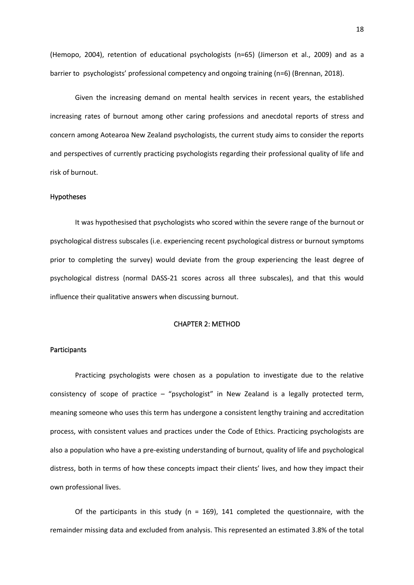(Hemopo, 2004), retention of educational psychologists (n=65) (Jimerson et al., 2009) and as a barrier to psychologists' professional competency and ongoing training (n=6) (Brennan, 2018).

Given the increasing demand on mental health services in recent years, the established increasing rates of burnout among other caring professions and anecdotal reports of stress and concern among Aotearoa New Zealand psychologists, the current study aims to consider the reports and perspectives of currently practicing psychologists regarding their professional quality of life and risk of burnout.

#### <span id="page-17-0"></span>Hypotheses

It was hypothesised that psychologists who scored within the severe range of the burnout or psychological distress subscales (i.e. experiencing recent psychological distress or burnout symptoms prior to completing the survey) would deviate from the group experiencing the least degree of psychological distress (normal DASS-21 scores across all three subscales), and that this would influence their qualitative answers when discussing burnout.

# CHAPTER 2: METHOD

# <span id="page-17-2"></span><span id="page-17-1"></span>**Participants**

Practicing psychologists were chosen as a population to investigate due to the relative consistency of scope of practice – "psychologist" in New Zealand is a legally protected term, meaning someone who uses this term has undergone a consistent lengthy training and accreditation process, with consistent values and practices under the Code of Ethics. Practicing psychologists are also a population who have a pre-existing understanding of burnout, quality of life and psychological distress, both in terms of how these concepts impact their clients' lives, and how they impact their own professional lives.

Of the participants in this study ( $n = 169$ ), 141 completed the questionnaire, with the remainder missing data and excluded from analysis. This represented an estimated 3.8% of the total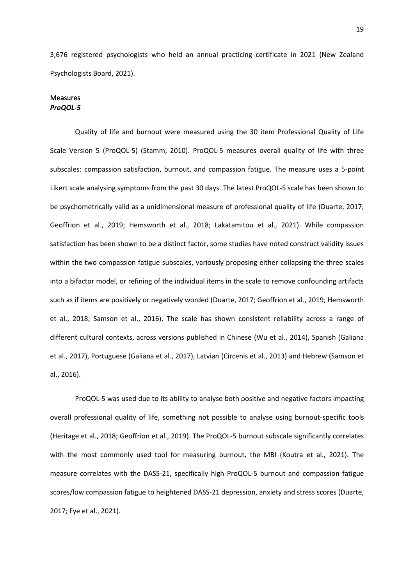3,676 registered psychologists who held an annual practicing certificate in 2021 (New Zealand Psychologists Board, 2021).

# <span id="page-18-1"></span><span id="page-18-0"></span>**Measures** *ProQOL-5*

Quality of life and burnout were measured using the 30 item Professional Quality of Life Scale Version 5 (ProQOL-5) (Stamm, 2010). ProQOL-5 measures overall quality of life with three subscales: compassion satisfaction, burnout, and compassion fatigue. The measure uses a 5-point Likert scale analysing symptoms from the past 30 days. The latest ProQOL-5 scale has been shown to be psychometrically valid as a unidimensional measure of professional quality of life (Duarte, 2017; Geoffrion et al., 2019; Hemsworth et al., 2018; Lakatamitou et al., 2021). While compassion satisfaction has been shown to be a distinct factor, some studies have noted construct validity issues within the two compassion fatigue subscales, variously proposing either collapsing the three scales into a bifactor model, or refining of the individual items in the scale to remove confounding artifacts such as if items are positively or negatively worded (Duarte, 2017; Geoffrion et al., 2019; Hemsworth et al., 2018; Samson et al., 2016). The scale has shown consistent reliability across a range of different cultural contexts, across versions published in Chinese (Wu et al., 2014), Spanish (Galiana et al., 2017), Portuguese (Galiana et al., 2017), Latvian (Circenis et al., 2013) and Hebrew (Samson et al., 2016).

ProQOL-5 was used due to its ability to analyse both positive and negative factors impacting overall professional quality of life, something not possible to analyse using burnout-specific tools (Heritage et al., 2018; Geoffrion et al., 2019). The ProQOL-5 burnout subscale significantly correlates with the most commonly used tool for measuring burnout, the MBI (Koutra et al., 2021). The measure correlates with the DASS-21, specifically high ProQOL-5 burnout and compassion fatigue scores/low compassion fatigue to heightened DASS-21 depression, anxiety and stress scores (Duarte, 2017; Fye et al., 2021).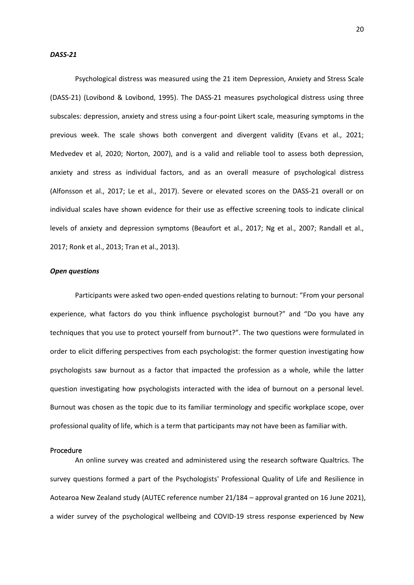#### <span id="page-19-0"></span>*DASS-21*

Psychological distress was measured using the 21 item Depression, Anxiety and Stress Scale (DASS-21) (Lovibond & Lovibond, 1995). The DASS-21 measures psychological distress using three subscales: depression, anxiety and stress using a four-point Likert scale, measuring symptoms in the previous week. The scale shows both convergent and divergent validity (Evans et al., 2021; Medvedev et al, 2020; Norton, 2007), and is a valid and reliable tool to assess both depression, anxiety and stress as individual factors, and as an overall measure of psychological distress (Alfonsson et al., 2017; Le et al., 2017). Severe or elevated scores on the DASS-21 overall or on individual scales have shown evidence for their use as effective screening tools to indicate clinical levels of anxiety and depression symptoms (Beaufort et al., 2017; Ng et al., 2007; Randall et al., 2017; Ronk et al., 2013; Tran et al., 2013).

# <span id="page-19-1"></span>*Open questions*

Participants were asked two open-ended questions relating to burnout: "From your personal experience, what factors do you think influence psychologist burnout?" and "Do you have any techniques that you use to protect yourself from burnout?". The two questions were formulated in order to elicit differing perspectives from each psychologist: the former question investigating how psychologists saw burnout as a factor that impacted the profession as a whole, while the latter question investigating how psychologists interacted with the idea of burnout on a personal level. Burnout was chosen as the topic due to its familiar terminology and specific workplace scope, over professional quality of life, which is a term that participants may not have been as familiar with.

#### <span id="page-19-2"></span>Procedure

An online survey was created and administered using the research software Qualtrics. The survey questions formed a part of the Psychologists' Professional Quality of Life and Resilience in Aotearoa New Zealand study (AUTEC reference number 21/184 – approval granted on 16 June 2021), a wider survey of the psychological wellbeing and COVID-19 stress response experienced by New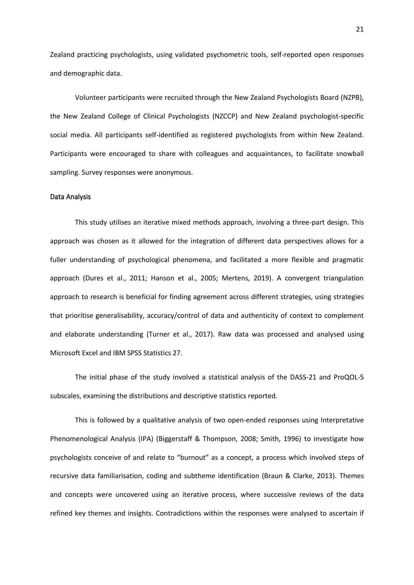Zealand practicing psychologists, using validated psychometric tools, self-reported open responses and demographic data.

Volunteer participants were recruited through the New Zealand Psychologists Board (NZPB), the New Zealand College of Clinical Psychologists (NZCCP) and New Zealand psychologist-specific social media. All participants self-identified as registered psychologists from within New Zealand. Participants were encouraged to share with colleagues and acquaintances, to facilitate snowball sampling. Survey responses were anonymous.

#### <span id="page-20-0"></span>Data Analysis

This study utilises an iterative mixed methods approach, involving a three-part design. This approach was chosen as it allowed for the integration of different data perspectives allows for a fuller understanding of psychological phenomena, and facilitated a more flexible and pragmatic approach (Dures et al., 2011; Hanson et al., 2005; Mertens, 2019). A convergent triangulation approach to research is beneficial for finding agreement across different strategies, using strategies that prioritise generalisability, accuracy/control of data and authenticity of context to complement and elaborate understanding (Turner et al., 2017). Raw data was processed and analysed using Microsoft Excel and IBM SPSS Statistics 27.

The initial phase of the study involved a statistical analysis of the DASS-21 and ProQOL-5 subscales, examining the distributions and descriptive statistics reported.

This is followed by a qualitative analysis of two open-ended responses using Interpretative Phenomenological Analysis (IPA) (Biggerstaff & Thompson, 2008; Smith, 1996) to investigate how psychologists conceive of and relate to "burnout" as a concept, a process which involved steps of recursive data familiarisation, coding and subtheme identification (Braun & Clarke, 2013). Themes and concepts were uncovered using an iterative process, where successive reviews of the data refined key themes and insights. Contradictions within the responses were analysed to ascertain if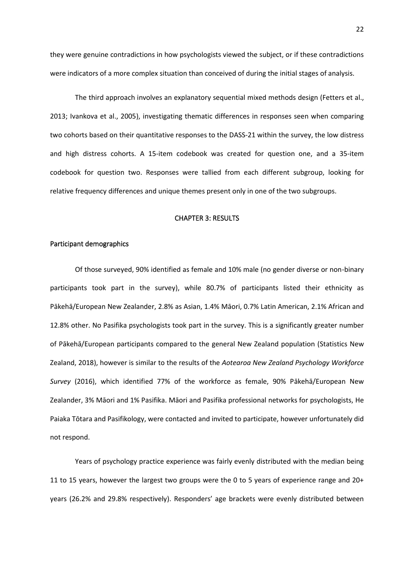they were genuine contradictions in how psychologists viewed the subject, or if these contradictions were indicators of a more complex situation than conceived of during the initial stages of analysis.

The third approach involves an explanatory sequential mixed methods design (Fetters et al., 2013; Ivankova et al., 2005), investigating thematic differences in responses seen when comparing two cohorts based on their quantitative responses to the DASS-21 within the survey, the low distress and high distress cohorts. A 15-item codebook was created for question one, and a 35-item codebook for question two. Responses were tallied from each different subgroup, looking for relative frequency differences and unique themes present only in one of the two subgroups.

# CHAPTER 3: RESULTS

#### <span id="page-21-1"></span><span id="page-21-0"></span>Participant demographics

Of those surveyed, 90% identified as female and 10% male (no gender diverse or non-binary participants took part in the survey), while 80.7% of participants listed their ethnicity as Pākehā/European New Zealander, 2.8% as Asian, 1.4% Māori, 0.7% Latin American, 2.1% African and 12.8% other. No Pasifika psychologists took part in the survey. This is a significantly greater number of Pākehā/European participants compared to the general New Zealand population (Statistics New Zealand, 2018), however is similar to the results of the *Aotearoa New Zealand Psychology Workforce Survey* (2016), which identified 77% of the workforce as female, 90% Pākehā/European New Zealander, 3% Māori and 1% Pasifika. Māori and Pasifika professional networks for psychologists, He Paiaka Tōtara and Pasifikology, were contacted and invited to participate, however unfortunately did not respond.

Years of psychology practice experience was fairly evenly distributed with the median being 11 to 15 years, however the largest two groups were the 0 to 5 years of experience range and 20+ years (26.2% and 29.8% respectively). Responders' age brackets were evenly distributed between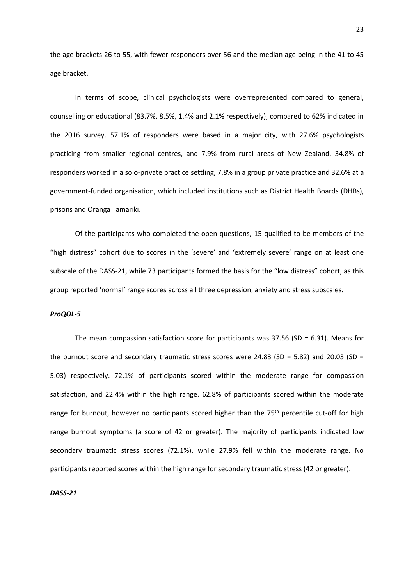the age brackets 26 to 55, with fewer responders over 56 and the median age being in the 41 to 45 age bracket.

In terms of scope, clinical psychologists were overrepresented compared to general, counselling or educational (83.7%, 8.5%, 1.4% and 2.1% respectively), compared to 62% indicated in the 2016 survey. 57.1% of responders were based in a major city, with 27.6% psychologists practicing from smaller regional centres, and 7.9% from rural areas of New Zealand. 34.8% of responders worked in a solo-private practice settling, 7.8% in a group private practice and 32.6% at a government-funded organisation, which included institutions such as District Health Boards (DHBs), prisons and Oranga Tamariki.

Of the participants who completed the open questions, 15 qualified to be members of the "high distress" cohort due to scores in the 'severe' and 'extremely severe' range on at least one subscale of the DASS-21, while 73 participants formed the basis for the "low distress" cohort, as this group reported 'normal' range scores across all three depression, anxiety and stress subscales.

## <span id="page-22-0"></span>*ProQOL-5*

The mean compassion satisfaction score for participants was  $37.56$  (SD = 6.31). Means for the burnout score and secondary traumatic stress scores were 24.83 (SD = 5.82) and 20.03 (SD = 5.03) respectively. 72.1% of participants scored within the moderate range for compassion satisfaction, and 22.4% within the high range. 62.8% of participants scored within the moderate range for burnout, however no participants scored higher than the 75<sup>th</sup> percentile cut-off for high range burnout symptoms (a score of 42 or greater). The majority of participants indicated low secondary traumatic stress scores (72.1%), while 27.9% fell within the moderate range. No participants reported scores within the high range for secondary traumatic stress (42 or greater).

#### <span id="page-22-1"></span>*DASS-21*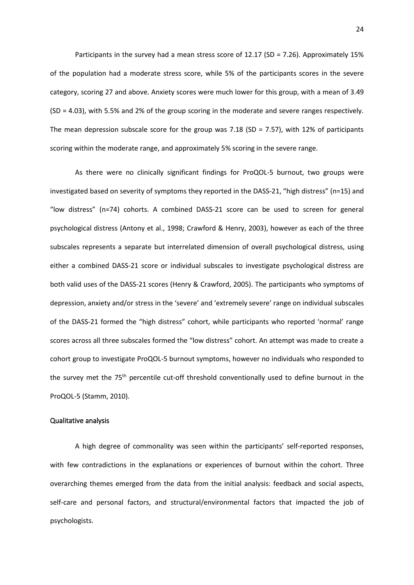Participants in the survey had a mean stress score of 12.17 (SD = 7.26). Approximately 15% of the population had a moderate stress score, while 5% of the participants scores in the severe category, scoring 27 and above. Anxiety scores were much lower for this group, with a mean of 3.49 (SD = 4.03), with 5.5% and 2% of the group scoring in the moderate and severe ranges respectively. The mean depression subscale score for the group was 7.18 (SD = 7.57), with 12% of participants scoring within the moderate range, and approximately 5% scoring in the severe range.

As there were no clinically significant findings for ProQOL-5 burnout, two groups were investigated based on severity of symptoms they reported in the DASS-21, "high distress" (n=15) and "low distress" (n=74) cohorts. A combined DASS-21 score can be used to screen for general psychological distress (Antony et al., 1998; Crawford & Henry, 2003), however as each of the three subscales represents a separate but interrelated dimension of overall psychological distress, using either a combined DASS-21 score or individual subscales to investigate psychological distress are both valid uses of the DASS-21 scores (Henry & Crawford, 2005). The participants who symptoms of depression, anxiety and/or stress in the 'severe' and 'extremely severe' range on individual subscales of the DASS-21 formed the "high distress" cohort, while participants who reported 'normal' range scores across all three subscales formed the "low distress" cohort. An attempt was made to create a cohort group to investigate ProQOL-5 burnout symptoms, however no individuals who responded to the survey met the 75<sup>th</sup> percentile cut-off threshold conventionally used to define burnout in the ProQOL-5 (Stamm, 2010).

#### <span id="page-23-0"></span>Qualitative analysis

A high degree of commonality was seen within the participants' self-reported responses, with few contradictions in the explanations or experiences of burnout within the cohort. Three overarching themes emerged from the data from the initial analysis: feedback and social aspects, self-care and personal factors, and structural/environmental factors that impacted the job of psychologists.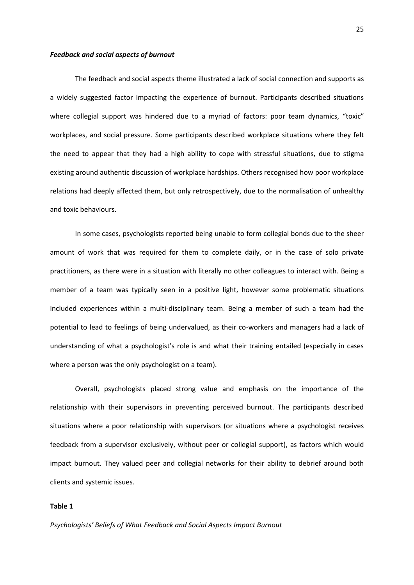#### <span id="page-24-0"></span>*Feedback and social aspects of burnout*

The feedback and social aspects theme illustrated a lack of social connection and supports as a widely suggested factor impacting the experience of burnout. Participants described situations where collegial support was hindered due to a myriad of factors: poor team dynamics, "toxic" workplaces, and social pressure. Some participants described workplace situations where they felt the need to appear that they had a high ability to cope with stressful situations, due to stigma existing around authentic discussion of workplace hardships. Others recognised how poor workplace relations had deeply affected them, but only retrospectively, due to the normalisation of unhealthy and toxic behaviours.

In some cases, psychologists reported being unable to form collegial bonds due to the sheer amount of work that was required for them to complete daily, or in the case of solo private practitioners, as there were in a situation with literally no other colleagues to interact with. Being a member of a team was typically seen in a positive light, however some problematic situations included experiences within a multi-disciplinary team. Being a member of such a team had the potential to lead to feelings of being undervalued, as their co-workers and managers had a lack of understanding of what a psychologist's role is and what their training entailed (especially in cases where a person was the only psychologist on a team).

Overall, psychologists placed strong value and emphasis on the importance of the relationship with their supervisors in preventing perceived burnout. The participants described situations where a poor relationship with supervisors (or situations where a psychologist receives feedback from a supervisor exclusively, without peer or collegial support), as factors which would impact burnout. They valued peer and collegial networks for their ability to debrief around both clients and systemic issues.

## **Table 1**

*Psychologists' Beliefs of What Feedback and Social Aspects Impact Burnout*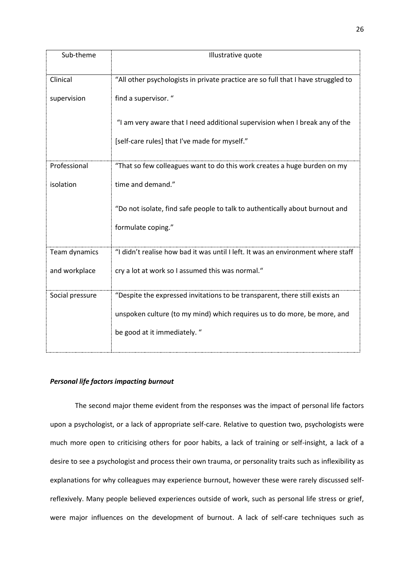| Sub-theme       | Illustrative quote                                                                |
|-----------------|-----------------------------------------------------------------------------------|
| Clinical        | "All other psychologists in private practice are so full that I have struggled to |
| supervision     | find a supervisor. "                                                              |
|                 | "I am very aware that I need additional supervision when I break any of the       |
|                 | [self-care rules] that I've made for myself."                                     |
| Professional    | "That so few colleagues want to do this work creates a huge burden on my          |
|                 |                                                                                   |
| isolation       | time and demand."                                                                 |
|                 | "Do not isolate, find safe people to talk to authentically about burnout and      |
|                 | formulate coping."                                                                |
| Team dynamics   | "I didn't realise how bad it was until I left. It was an environment where staff  |
| and workplace   | cry a lot at work so I assumed this was normal."                                  |
| Social pressure | "Despite the expressed invitations to be transparent, there still exists an       |
|                 | unspoken culture (to my mind) which requires us to do more, be more, and          |
|                 | be good at it immediately. "                                                      |

# <span id="page-25-0"></span>*Personal life factors impacting burnout*

The second major theme evident from the responses was the impact of personal life factors upon a psychologist, or a lack of appropriate self-care. Relative to question two, psychologists were much more open to criticising others for poor habits, a lack of training or self-insight, a lack of a desire to see a psychologist and process their own trauma, or personality traits such as inflexibility as explanations for why colleagues may experience burnout, however these were rarely discussed selfreflexively. Many people believed experiences outside of work, such as personal life stress or grief, were major influences on the development of burnout. A lack of self-care techniques such as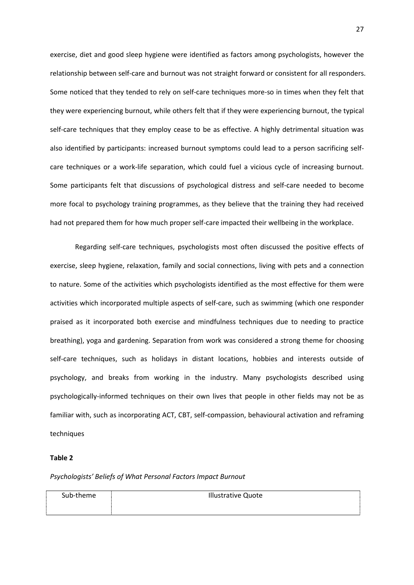exercise, diet and good sleep hygiene were identified as factors among psychologists, however the relationship between self-care and burnout was not straight forward or consistent for all responders. Some noticed that they tended to rely on self-care techniques more-so in times when they felt that they were experiencing burnout, while others felt that if they were experiencing burnout, the typical self-care techniques that they employ cease to be as effective. A highly detrimental situation was also identified by participants: increased burnout symptoms could lead to a person sacrificing selfcare techniques or a work-life separation, which could fuel a vicious cycle of increasing burnout. Some participants felt that discussions of psychological distress and self-care needed to become more focal to psychology training programmes, as they believe that the training they had received had not prepared them for how much proper self-care impacted their wellbeing in the workplace.

Regarding self-care techniques, psychologists most often discussed the positive effects of exercise, sleep hygiene, relaxation, family and social connections, living with pets and a connection to nature. Some of the activities which psychologists identified as the most effective for them were activities which incorporated multiple aspects of self-care, such as swimming (which one responder praised as it incorporated both exercise and mindfulness techniques due to needing to practice breathing), yoga and gardening. Separation from work was considered a strong theme for choosing self-care techniques, such as holidays in distant locations, hobbies and interests outside of psychology, and breaks from working in the industry. Many psychologists described using psychologically-informed techniques on their own lives that people in other fields may not be as familiar with, such as incorporating ACT, CBT, self-compassion, behavioural activation and reframing techniques

#### **Table 2**

*Psychologists' Beliefs of What Personal Factors Impact Burnout*

| Sub-theme | <b>Illustrative Quote</b> |
|-----------|---------------------------|
|           |                           |
|           |                           |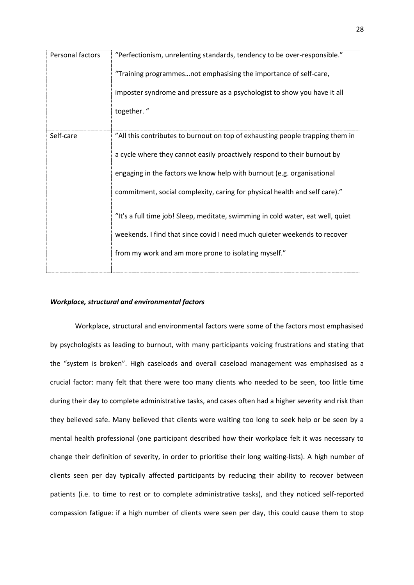| Personal factors | "Perfectionism, unrelenting standards, tendency to be over-responsible."        |
|------------------|---------------------------------------------------------------------------------|
|                  | "Training programmesnot emphasising the importance of self-care,                |
|                  | imposter syndrome and pressure as a psychologist to show you have it all        |
|                  | together."                                                                      |
|                  |                                                                                 |
| Self-care        | "All this contributes to burnout on top of exhausting people trapping them in   |
|                  | a cycle where they cannot easily proactively respond to their burnout by        |
|                  | engaging in the factors we know help with burnout (e.g. organisational          |
|                  | commitment, social complexity, caring for physical health and self care)."      |
|                  | "It's a full time job! Sleep, meditate, swimming in cold water, eat well, quiet |
|                  |                                                                                 |
|                  | weekends. I find that since covid I need much quieter weekends to recover       |
|                  | from my work and am more prone to isolating myself."                            |
|                  |                                                                                 |

# <span id="page-27-0"></span>*Workplace, structural and environmental factors*

Workplace, structural and environmental factors were some of the factors most emphasised by psychologists as leading to burnout, with many participants voicing frustrations and stating that the "system is broken". High caseloads and overall caseload management was emphasised as a crucial factor: many felt that there were too many clients who needed to be seen, too little time during their day to complete administrative tasks, and cases often had a higher severity and risk than they believed safe. Many believed that clients were waiting too long to seek help or be seen by a mental health professional (one participant described how their workplace felt it was necessary to change their definition of severity, in order to prioritise their long waiting-lists). A high number of clients seen per day typically affected participants by reducing their ability to recover between patients (i.e. to time to rest or to complete administrative tasks), and they noticed self-reported compassion fatigue: if a high number of clients were seen per day, this could cause them to stop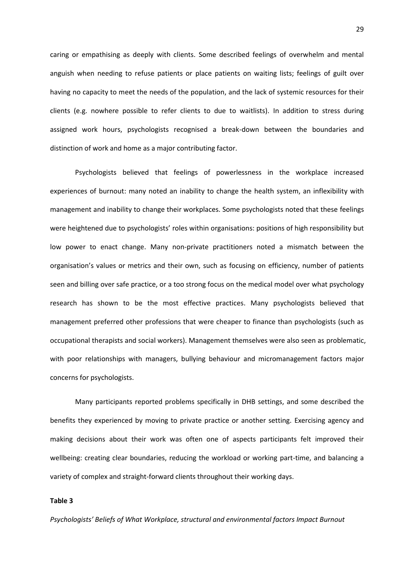caring or empathising as deeply with clients. Some described feelings of overwhelm and mental anguish when needing to refuse patients or place patients on waiting lists; feelings of guilt over having no capacity to meet the needs of the population, and the lack of systemic resources for their clients (e.g. nowhere possible to refer clients to due to waitlists). In addition to stress during assigned work hours, psychologists recognised a break-down between the boundaries and distinction of work and home as a major contributing factor.

Psychologists believed that feelings of powerlessness in the workplace increased experiences of burnout: many noted an inability to change the health system, an inflexibility with management and inability to change their workplaces. Some psychologists noted that these feelings were heightened due to psychologists' roles within organisations: positions of high responsibility but low power to enact change. Many non-private practitioners noted a mismatch between the organisation's values or metrics and their own, such as focusing on efficiency, number of patients seen and billing over safe practice, or a too strong focus on the medical model over what psychology research has shown to be the most effective practices. Many psychologists believed that management preferred other professions that were cheaper to finance than psychologists (such as occupational therapists and social workers). Management themselves were also seen as problematic, with poor relationships with managers, bullying behaviour and micromanagement factors major concerns for psychologists.

Many participants reported problems specifically in DHB settings, and some described the benefits they experienced by moving to private practice or another setting. Exercising agency and making decisions about their work was often one of aspects participants felt improved their wellbeing: creating clear boundaries, reducing the workload or working part-time, and balancing a variety of complex and straight-forward clients throughout their working days.

## **Table 3**

*Psychologists' Beliefs of What Workplace, structural and environmental factors Impact Burnout*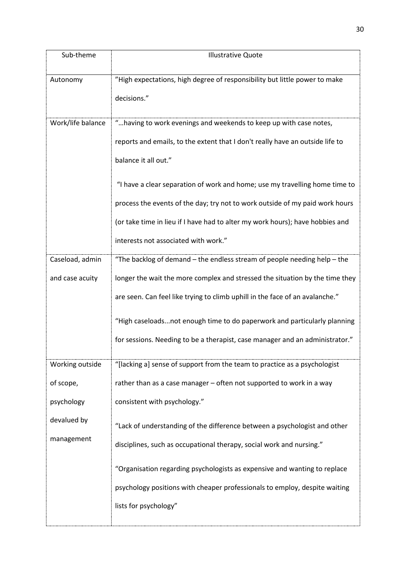| Sub-theme                          | <b>Illustrative Quote</b>                                                                                                                                                                                                                                 |
|------------------------------------|-----------------------------------------------------------------------------------------------------------------------------------------------------------------------------------------------------------------------------------------------------------|
| Autonomy                           | "High expectations, high degree of responsibility but little power to make<br>decisions."                                                                                                                                                                 |
| Work/life balance                  | "having to work evenings and weekends to keep up with case notes,<br>reports and emails, to the extent that I don't really have an outside life to<br>balance it all out."<br>"I have a clear separation of work and home; use my travelling home time to |
|                                    | process the events of the day; try not to work outside of my paid work hours<br>(or take time in lieu if I have had to alter my work hours); have hobbies and<br>interests not associated with work."                                                     |
| Caseload, admin<br>and case acuity | "The backlog of demand - the endless stream of people needing help - the<br>longer the wait the more complex and stressed the situation by the time they                                                                                                  |
|                                    | are seen. Can feel like trying to climb uphill in the face of an avalanche."<br>"High caseloadsnot enough time to do paperwork and particularly planning<br>for sessions. Needing to be a therapist, case manager and an administrator."                  |
| Working outside                    | "[lacking a] sense of support from the team to practice as a psychologist                                                                                                                                                                                 |
| of scope,                          | rather than as a case manager - often not supported to work in a way                                                                                                                                                                                      |
| psychology                         | consistent with psychology."                                                                                                                                                                                                                              |
| devalued by                        | "Lack of understanding of the difference between a psychologist and other                                                                                                                                                                                 |
| management                         | disciplines, such as occupational therapy, social work and nursing."                                                                                                                                                                                      |
|                                    | "Organisation regarding psychologists as expensive and wanting to replace<br>psychology positions with cheaper professionals to employ, despite waiting<br>lists for psychology"                                                                          |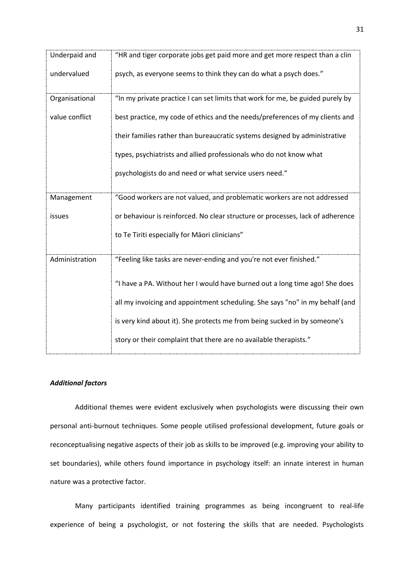| Underpaid and  | "HR and tiger corporate jobs get paid more and get more respect than a clin    |
|----------------|--------------------------------------------------------------------------------|
| undervalued    | psych, as everyone seems to think they can do what a psych does."              |
| Organisational | "In my private practice I can set limits that work for me, be guided purely by |
| value conflict | best practice, my code of ethics and the needs/preferences of my clients and   |
|                | their families rather than bureaucratic systems designed by administrative     |
|                | types, psychiatrists and allied professionals who do not know what             |
|                | psychologists do and need or what service users need."                         |
| Management     | "Good workers are not valued, and problematic workers are not addressed        |
| issues         | or behaviour is reinforced. No clear structure or processes, lack of adherence |
|                | to Te Tiriti especially for Māori clinicians"                                  |
| Administration | "Feeling like tasks are never-ending and you're not ever finished."            |
|                | "I have a PA. Without her I would have burned out a long time ago! She does    |
|                | all my invoicing and appointment scheduling. She says "no" in my behalf (and   |
|                | is very kind about it). She protects me from being sucked in by someone's      |
|                | story or their complaint that there are no available therapists."              |

# <span id="page-30-0"></span>*Additional factors*

Additional themes were evident exclusively when psychologists were discussing their own personal anti-burnout techniques. Some people utilised professional development, future goals or reconceptualising negative aspects of their job as skills to be improved (e.g. improving your ability to set boundaries), while others found importance in psychology itself: an innate interest in human nature was a protective factor.

Many participants identified training programmes as being incongruent to real-life experience of being a psychologist, or not fostering the skills that are needed. Psychologists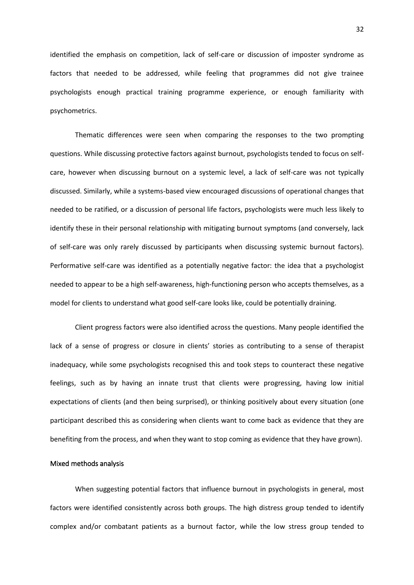identified the emphasis on competition, lack of self-care or discussion of imposter syndrome as factors that needed to be addressed, while feeling that programmes did not give trainee psychologists enough practical training programme experience, or enough familiarity with psychometrics.

Thematic differences were seen when comparing the responses to the two prompting questions. While discussing protective factors against burnout, psychologists tended to focus on selfcare, however when discussing burnout on a systemic level, a lack of self-care was not typically discussed. Similarly, while a systems-based view encouraged discussions of operational changes that needed to be ratified, or a discussion of personal life factors, psychologists were much less likely to identify these in their personal relationship with mitigating burnout symptoms (and conversely, lack of self-care was only rarely discussed by participants when discussing systemic burnout factors). Performative self-care was identified as a potentially negative factor: the idea that a psychologist needed to appear to be a high self-awareness, high-functioning person who accepts themselves, as a model for clients to understand what good self-care looks like, could be potentially draining.

Client progress factors were also identified across the questions. Many people identified the lack of a sense of progress or closure in clients' stories as contributing to a sense of therapist inadequacy, while some psychologists recognised this and took steps to counteract these negative feelings, such as by having an innate trust that clients were progressing, having low initial expectations of clients (and then being surprised), or thinking positively about every situation (one participant described this as considering when clients want to come back as evidence that they are benefiting from the process, and when they want to stop coming as evidence that they have grown).

#### <span id="page-31-0"></span>Mixed methods analysis

When suggesting potential factors that influence burnout in psychologists in general, most factors were identified consistently across both groups. The high distress group tended to identify complex and/or combatant patients as a burnout factor, while the low stress group tended to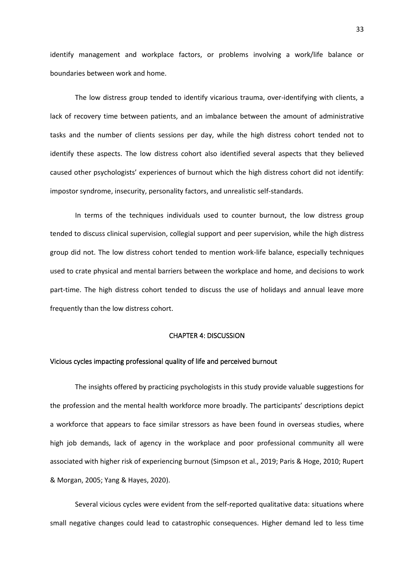identify management and workplace factors, or problems involving a work/life balance or boundaries between work and home.

The low distress group tended to identify vicarious trauma, over-identifying with clients, a lack of recovery time between patients, and an imbalance between the amount of administrative tasks and the number of clients sessions per day, while the high distress cohort tended not to identify these aspects. The low distress cohort also identified several aspects that they believed caused other psychologists' experiences of burnout which the high distress cohort did not identify: impostor syndrome, insecurity, personality factors, and unrealistic self-standards.

In terms of the techniques individuals used to counter burnout, the low distress group tended to discuss clinical supervision, collegial support and peer supervision, while the high distress group did not. The low distress cohort tended to mention work-life balance, especially techniques used to crate physical and mental barriers between the workplace and home, and decisions to work part-time. The high distress cohort tended to discuss the use of holidays and annual leave more frequently than the low distress cohort.

#### CHAPTER 4: DISCUSSION

# <span id="page-32-1"></span><span id="page-32-0"></span>Vicious cycles impacting professional quality of life and perceived burnout

The insights offered by practicing psychologists in this study provide valuable suggestions for the profession and the mental health workforce more broadly. The participants' descriptions depict a workforce that appears to face similar stressors as have been found in overseas studies, where high job demands, lack of agency in the workplace and poor professional community all were associated with higher risk of experiencing burnout (Simpson et al., 2019; Paris & Hoge, 2010; Rupert & Morgan, 2005; Yang & Hayes, 2020).

Several vicious cycles were evident from the self-reported qualitative data: situations where small negative changes could lead to catastrophic consequences. Higher demand led to less time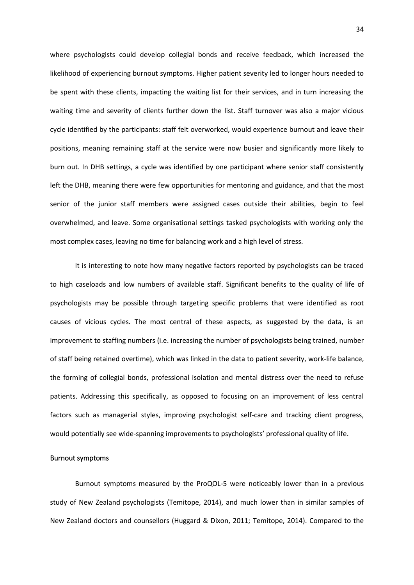where psychologists could develop collegial bonds and receive feedback, which increased the likelihood of experiencing burnout symptoms. Higher patient severity led to longer hours needed to be spent with these clients, impacting the waiting list for their services, and in turn increasing the waiting time and severity of clients further down the list. Staff turnover was also a major vicious cycle identified by the participants: staff felt overworked, would experience burnout and leave their positions, meaning remaining staff at the service were now busier and significantly more likely to burn out. In DHB settings, a cycle was identified by one participant where senior staff consistently left the DHB, meaning there were few opportunities for mentoring and guidance, and that the most senior of the junior staff members were assigned cases outside their abilities, begin to feel overwhelmed, and leave. Some organisational settings tasked psychologists with working only the most complex cases, leaving no time for balancing work and a high level of stress.

It is interesting to note how many negative factors reported by psychologists can be traced to high caseloads and low numbers of available staff. Significant benefits to the quality of life of psychologists may be possible through targeting specific problems that were identified as root causes of vicious cycles. The most central of these aspects, as suggested by the data, is an improvement to staffing numbers (i.e. increasing the number of psychologists being trained, number of staff being retained overtime), which was linked in the data to patient severity, work-life balance, the forming of collegial bonds, professional isolation and mental distress over the need to refuse patients. Addressing this specifically, as opposed to focusing on an improvement of less central factors such as managerial styles, improving psychologist self-care and tracking client progress, would potentially see wide-spanning improvements to psychologists' professional quality of life.

#### <span id="page-33-0"></span>Burnout symptoms

Burnout symptoms measured by the ProQOL-5 were noticeably lower than in a previous study of New Zealand psychologists (Temitope, 2014), and much lower than in similar samples of New Zealand doctors and counsellors (Huggard & Dixon, 2011; Temitope, 2014). Compared to the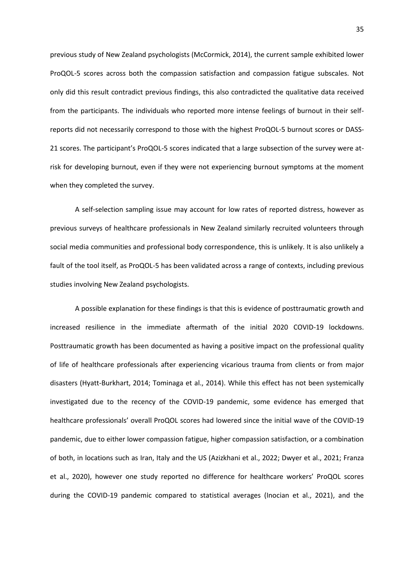previous study of New Zealand psychologists (McCormick, 2014), the current sample exhibited lower ProQOL-5 scores across both the compassion satisfaction and compassion fatigue subscales. Not only did this result contradict previous findings, this also contradicted the qualitative data received from the participants. The individuals who reported more intense feelings of burnout in their selfreports did not necessarily correspond to those with the highest ProQOL-5 burnout scores or DASS-21 scores. The participant's ProQOL-5 scores indicated that a large subsection of the survey were atrisk for developing burnout, even if they were not experiencing burnout symptoms at the moment when they completed the survey.

A self-selection sampling issue may account for low rates of reported distress, however as previous surveys of healthcare professionals in New Zealand similarly recruited volunteers through social media communities and professional body correspondence, this is unlikely. It is also unlikely a fault of the tool itself, as ProQOL-5 has been validated across a range of contexts, including previous studies involving New Zealand psychologists.

A possible explanation for these findings is that this is evidence of posttraumatic growth and increased resilience in the immediate aftermath of the initial 2020 COVID-19 lockdowns. Posttraumatic growth has been documented as having a positive impact on the professional quality of life of healthcare professionals after experiencing vicarious trauma from clients or from major disasters (Hyatt-Burkhart, 2014; Tominaga et al., 2014). While this effect has not been systemically investigated due to the recency of the COVID-19 pandemic, some evidence has emerged that healthcare professionals' overall ProQOL scores had lowered since the initial wave of the COVID-19 pandemic, due to either lower compassion fatigue, higher compassion satisfaction, or a combination of both, in locations such as Iran, Italy and the US (Azizkhani et al., 2022; Dwyer et al., 2021; Franza et al., 2020), however one study reported no difference for healthcare workers' ProQOL scores during the COVID-19 pandemic compared to statistical averages (Inocian et al., 2021), and the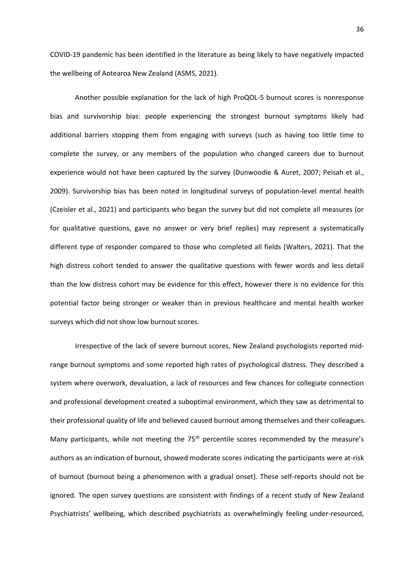COVID-19 pandemic has been identified in the literature as being likely to have negatively impacted the wellbeing of Aotearoa New Zealand (ASMS, 2021).

Another possible explanation for the lack of high ProQOL-5 burnout scores is nonresponse bias and survivorship bias: people experiencing the strongest burnout symptoms likely had additional barriers stopping them from engaging with surveys (such as having too little time to complete the survey, or any members of the population who changed careers due to burnout experience would not have been captured by the survey (Dunwoodie & Auret, 2007; Peisah et al., 2009). Survivorship bias has been noted in longitudinal surveys of population-level mental health (Czeisler et al., 2021) and participants who began the survey but did not complete all measures (or for qualitative questions, gave no answer or very brief replies) may represent a systematically different type of responder compared to those who completed all fields (Walters, 2021). That the high distress cohort tended to answer the qualitative questions with fewer words and less detail than the low distress cohort may be evidence for this effect, however there is no evidence for this potential factor being stronger or weaker than in previous healthcare and mental health worker surveys which did not show low burnout scores.

Irrespective of the lack of severe burnout scores, New Zealand psychologists reported midrange burnout symptoms and some reported high rates of psychological distress. They described a system where overwork, devaluation, a lack of resources and few chances for collegiate connection and professional development created a suboptimal environment, which they saw as detrimental to their professional quality of life and believed caused burnout among themselves and their colleagues. Many participants, while not meeting the  $75<sup>th</sup>$  percentile scores recommended by the measure's authors as an indication of burnout, showed moderate scores indicating the participants were at-risk of burnout (burnout being a phenomenon with a gradual onset). These self-reports should not be ignored. The open survey questions are consistent with findings of a recent study of New Zealand Psychiatrists' wellbeing, which described psychiatrists as overwhelmingly feeling under-resourced,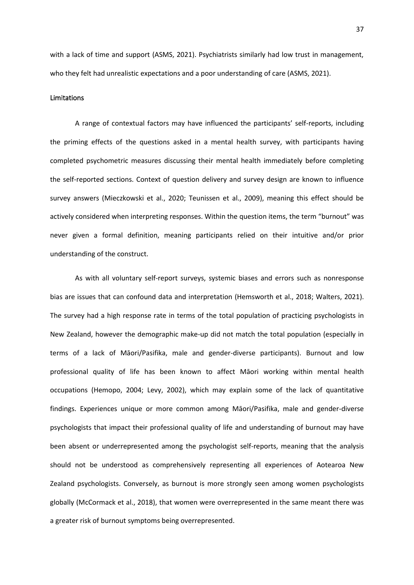with a lack of time and support (ASMS, 2021). Psychiatrists similarly had low trust in management, who they felt had unrealistic expectations and a poor understanding of care (ASMS, 2021).

# <span id="page-36-0"></span>Limitations

A range of contextual factors may have influenced the participants' self-reports, including the priming effects of the questions asked in a mental health survey, with participants having completed psychometric measures discussing their mental health immediately before completing the self-reported sections. Context of question delivery and survey design are known to influence survey answers (Mieczkowski et al., 2020; Teunissen et al., 2009), meaning this effect should be actively considered when interpreting responses. Within the question items, the term "burnout" was never given a formal definition, meaning participants relied on their intuitive and/or prior understanding of the construct.

As with all voluntary self-report surveys, systemic biases and errors such as nonresponse bias are issues that can confound data and interpretation (Hemsworth et al., 2018; Walters, 2021). The survey had a high response rate in terms of the total population of practicing psychologists in New Zealand, however the demographic make-up did not match the total population (especially in terms of a lack of Māori/Pasifika, male and gender-diverse participants). Burnout and low professional quality of life has been known to affect Māori working within mental health occupations (Hemopo, 2004; Levy, 2002), which may explain some of the lack of quantitative findings. Experiences unique or more common among Māori/Pasifika, male and gender-diverse psychologists that impact their professional quality of life and understanding of burnout may have been absent or underrepresented among the psychologist self-reports, meaning that the analysis should not be understood as comprehensively representing all experiences of Aotearoa New Zealand psychologists. Conversely, as burnout is more strongly seen among women psychologists globally (McCormack et al., 2018), that women were overrepresented in the same meant there was a greater risk of burnout symptoms being overrepresented.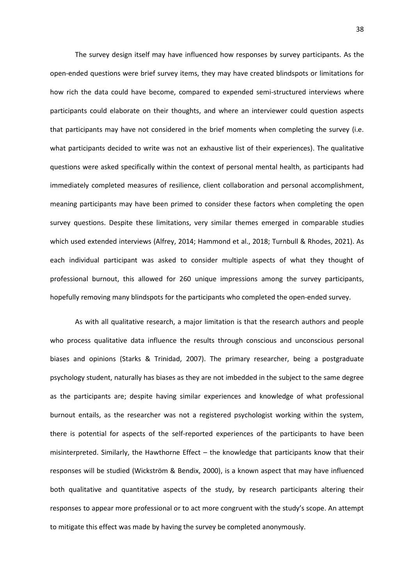The survey design itself may have influenced how responses by survey participants. As the open-ended questions were brief survey items, they may have created blindspots or limitations for how rich the data could have become, compared to expended semi-structured interviews where participants could elaborate on their thoughts, and where an interviewer could question aspects that participants may have not considered in the brief moments when completing the survey (i.e. what participants decided to write was not an exhaustive list of their experiences). The qualitative questions were asked specifically within the context of personal mental health, as participants had immediately completed measures of resilience, client collaboration and personal accomplishment, meaning participants may have been primed to consider these factors when completing the open survey questions. Despite these limitations, very similar themes emerged in comparable studies which used extended interviews (Alfrey, 2014; Hammond et al., 2018; Turnbull & Rhodes, 2021). As each individual participant was asked to consider multiple aspects of what they thought of professional burnout, this allowed for 260 unique impressions among the survey participants, hopefully removing many blindspots for the participants who completed the open-ended survey.

As with all qualitative research, a major limitation is that the research authors and people who process qualitative data influence the results through conscious and unconscious personal biases and opinions (Starks & Trinidad, 2007). The primary researcher, being a postgraduate psychology student, naturally has biases as they are not imbedded in the subject to the same degree as the participants are; despite having similar experiences and knowledge of what professional burnout entails, as the researcher was not a registered psychologist working within the system, there is potential for aspects of the self-reported experiences of the participants to have been misinterpreted. Similarly, the Hawthorne Effect – the knowledge that participants know that their responses will be studied (Wickström & Bendix, 2000), is a known aspect that may have influenced both qualitative and quantitative aspects of the study, by research participants altering their responses to appear more professional or to act more congruent with the study's scope. An attempt to mitigate this effect was made by having the survey be completed anonymously.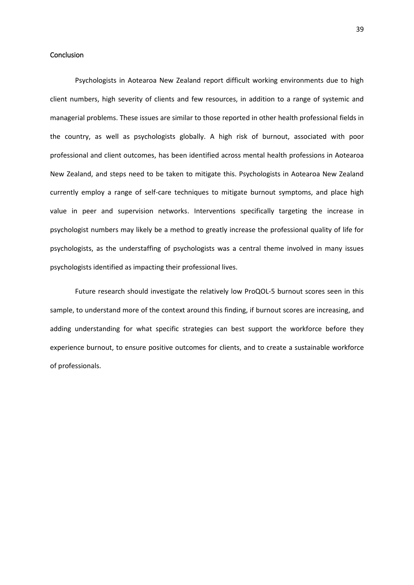# <span id="page-38-0"></span>**Conclusion**

Psychologists in Aotearoa New Zealand report difficult working environments due to high client numbers, high severity of clients and few resources, in addition to a range of systemic and managerial problems. These issues are similar to those reported in other health professional fields in the country, as well as psychologists globally. A high risk of burnout, associated with poor professional and client outcomes, has been identified across mental health professions in Aotearoa New Zealand, and steps need to be taken to mitigate this. Psychologists in Aotearoa New Zealand currently employ a range of self-care techniques to mitigate burnout symptoms, and place high value in peer and supervision networks. Interventions specifically targeting the increase in psychologist numbers may likely be a method to greatly increase the professional quality of life for psychologists, as the understaffing of psychologists was a central theme involved in many issues psychologists identified as impacting their professional lives.

Future research should investigate the relatively low ProQOL-5 burnout scores seen in this sample, to understand more of the context around this finding, if burnout scores are increasing, and adding understanding for what specific strategies can best support the workforce before they experience burnout, to ensure positive outcomes for clients, and to create a sustainable workforce of professionals.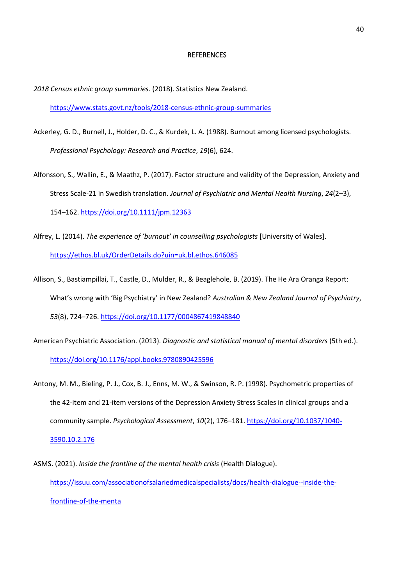#### **REFERENCES**

<span id="page-39-0"></span>*2018 Census ethnic group summaries*. (2018). Statistics New Zealand. <https://www.stats.govt.nz/tools/2018-census-ethnic-group-summaries>

- Ackerley, G. D., Burnell, J., Holder, D. C., & Kurdek, L. A. (1988). Burnout among licensed psychologists. *Professional Psychology: Research and Practice*, *19*(6), 624.
- Alfonsson, S., Wallin, E., & Maathz, P. (2017). Factor structure and validity of the Depression, Anxiety and Stress Scale-21 in Swedish translation. *Journal of Psychiatric and Mental Health Nursing*, *24*(2–3), 154–162.<https://doi.org/10.1111/jpm.12363>
- Alfrey, L. (2014). *The experience of 'burnout' in counselling psychologists* [University of Wales]. <https://ethos.bl.uk/OrderDetails.do?uin=uk.bl.ethos.646085>
- Allison, S., Bastiampillai, T., Castle, D., Mulder, R., & Beaglehole, B. (2019). The He Ara Oranga Report: What's wrong with 'Big Psychiatry' in New Zealand? *Australian & New Zealand Journal of Psychiatry*, *53*(8), 724–726.<https://doi.org/10.1177/0004867419848840>
- American Psychiatric Association. (2013). *Diagnostic and statistical manual of mental disorders* (5th ed.). <https://doi.org/10.1176/appi.books.9780890425596>
- Antony, M. M., Bieling, P. J., Cox, B. J., Enns, M. W., & Swinson, R. P. (1998). Psychometric properties of the 42-item and 21-item versions of the Depression Anxiety Stress Scales in clinical groups and a community sample. *Psychological Assessment*, *10*(2), 176–181. [https://doi.org/10.1037/1040-](https://doi.org/10.1037/1040-3590.10.2.176) [3590.10.2.176](https://doi.org/10.1037/1040-3590.10.2.176)
- ASMS. (2021). *Inside the frontline of the mental health crisis* (Health Dialogue). [https://issuu.com/associationofsalariedmedicalspecialists/docs/health-dialogue--inside-the](https://issuu.com/associationofsalariedmedicalspecialists/docs/health-dialogue--inside-the-frontline-of-the-menta)[frontline-of-the-menta](https://issuu.com/associationofsalariedmedicalspecialists/docs/health-dialogue--inside-the-frontline-of-the-menta)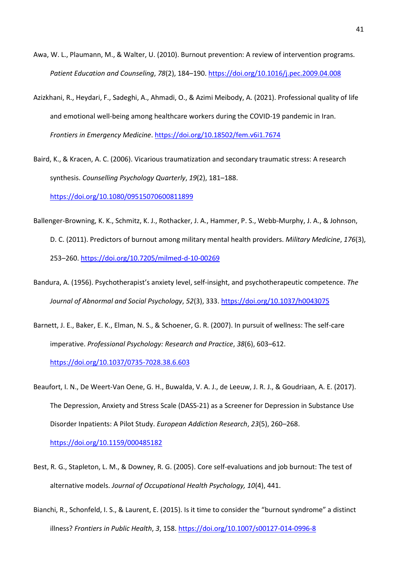- Awa, W. L., Plaumann, M., & Walter, U. (2010). Burnout prevention: A review of intervention programs. *Patient Education and Counseling*, *78*(2), 184–190[. https://doi.org/10.1016/j.pec.2009.04.008](https://doi.org/10.1016/j.pec.2009.04.008)
- Azizkhani, R., Heydari, F., Sadeghi, A., Ahmadi, O., & Azimi Meibody, A. (2021). Professional quality of life and emotional well-being among healthcare workers during the COVID-19 pandemic in Iran. *Frontiers in Emergency Medicine*[. https://doi.org/10.18502/fem.v6i1.7674](https://doi.org/10.18502/fem.v6i1.7674)

Baird, K., & Kracen, A. C. (2006). Vicarious traumatization and secondary traumatic stress: A research synthesis. *Counselling Psychology Quarterly*, *19*(2), 181–188. <https://doi.org/10.1080/09515070600811899>

- Ballenger-Browning, K. K., Schmitz, K. J., Rothacker, J. A., Hammer, P. S., Webb-Murphy, J. A., & Johnson, D. C. (2011). Predictors of burnout among military mental health providers. *Military Medicine*, *176*(3), 253–260.<https://doi.org/10.7205/milmed-d-10-00269>
- Bandura, A. (1956). Psychotherapist's anxiety level, self-insight, and psychotherapeutic competence. *The Journal of Abnormal and Social Psychology*, *52*(3), 333.<https://doi.org/10.1037/h0043075>
- Barnett, J. E., Baker, E. K., Elman, N. S., & Schoener, G. R. (2007). In pursuit of wellness: The self-care imperative. *Professional Psychology: Research and Practice*, *38*(6), 603–612.

<https://doi.org/10.1037/0735-7028.38.6.603>

Beaufort, I. N., De Weert-Van Oene, G. H., Buwalda, V. A. J., de Leeuw, J. R. J., & Goudriaan, A. E. (2017). The Depression, Anxiety and Stress Scale (DASS-21) as a Screener for Depression in Substance Use Disorder Inpatients: A Pilot Study. *European Addiction Research*, *23*(5), 260–268.

<https://doi.org/10.1159/000485182>

- Best, R. G., Stapleton, L. M., & Downey, R. G. (2005). Core self-evaluations and job burnout: The test of alternative models. *Journal of Occupational Health Psychology, 10*(4), 441.
- Bianchi, R., Schonfeld, I. S., & Laurent, E. (2015). Is it time to consider the "burnout syndrome" a distinct illness? *Frontiers in Public Health*, *3*, 158[. https://doi.org/10.1007/s00127-014-0996-8](https://doi.org/10.1007/s00127-014-0996-8)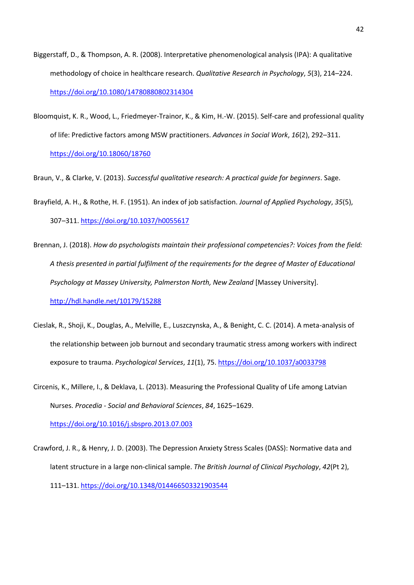- Biggerstaff, D., & Thompson, A. R. (2008). Interpretative phenomenological analysis (IPA): A qualitative methodology of choice in healthcare research. *Qualitative Research in Psychology*, *5*(3), 214–224. <https://doi.org/10.1080/14780880802314304>
- Bloomquist, K. R., Wood, L., Friedmeyer-Trainor, K., & Kim, H.-W. (2015). Self-care and professional quality of life: Predictive factors among MSW practitioners. *Advances in Social Work*, *16*(2), 292–311. <https://doi.org/10.18060/18760>

Braun, V., & Clarke, V. (2013). *Successful qualitative research: A practical guide for beginners*. Sage.

- Brayfield, A. H., & Rothe, H. F. (1951). An index of job satisfaction. *Journal of Applied Psychology*, *35*(5), 307–311.<https://doi.org/10.1037/h0055617>
- Brennan, J. (2018). *How do psychologists maintain their professional competencies?: Voices from the field: A thesis presented in partial fulfilment of the requirements for the degree of Master of Educational Psychology at Massey University, Palmerston North, New Zealand* [Massey University]. <http://hdl.handle.net/10179/15288>
- Cieslak, R., Shoji, K., Douglas, A., Melville, E., Luszczynska, A., & Benight, C. C. (2014). A meta-analysis of the relationship between job burnout and secondary traumatic stress among workers with indirect exposure to trauma. *Psychological Services*, *11*(1), 75[. https://doi.org/10.1037/a0033798](https://doi.org/10.1037/a0033798)
- Circenis, K., Millere, I., & Deklava, L. (2013). Measuring the Professional Quality of Life among Latvian Nurses. *Procedia - Social and Behavioral Sciences*, *84*, 1625–1629.

<https://doi.org/10.1016/j.sbspro.2013.07.003>

Crawford, J. R., & Henry, J. D. (2003). The Depression Anxiety Stress Scales (DASS): Normative data and latent structure in a large non-clinical sample. *The British Journal of Clinical Psychology*, *42*(Pt 2), 111–131.<https://doi.org/10.1348/014466503321903544>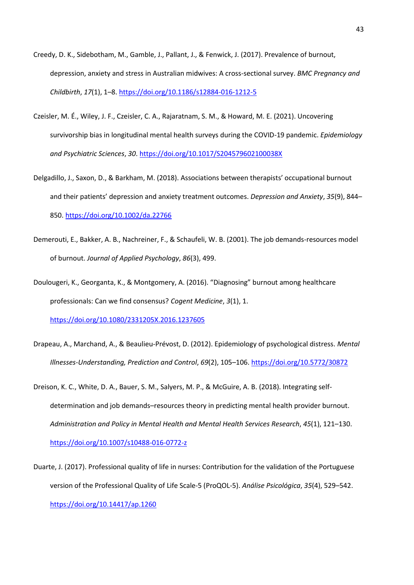- Creedy, D. K., Sidebotham, M., Gamble, J., Pallant, J., & Fenwick, J. (2017). Prevalence of burnout, depression, anxiety and stress in Australian midwives: A cross-sectional survey. *BMC Pregnancy and Childbirth*, *17*(1), 1–8.<https://doi.org/10.1186/s12884-016-1212-5>
- Czeisler, M. É., Wiley, J. F., Czeisler, C. A., Rajaratnam, S. M., & Howard, M. E. (2021). Uncovering survivorship bias in longitudinal mental health surveys during the COVID-19 pandemic. *Epidemiology and Psychiatric Sciences*, *30*[. https://doi.org/10.1017/S204579602100038X](https://doi.org/10.1017/S204579602100038X)
- Delgadillo, J., Saxon, D., & Barkham, M. (2018). Associations between therapists' occupational burnout and their patients' depression and anxiety treatment outcomes. *Depression and Anxiety*, *35*(9), 844– 850.<https://doi.org/10.1002/da.22766>
- Demerouti, E., Bakker, A. B., Nachreiner, F., & Schaufeli, W. B. (2001). The job demands-resources model of burnout. *Journal of Applied Psychology*, *86*(3), 499.
- Doulougeri, K., Georganta, K., & Montgomery, A. (2016). "Diagnosing" burnout among healthcare professionals: Can we find consensus? *Cogent Medicine*, *3*(1), 1. <https://doi.org/10.1080/2331205X.2016.1237605>
- Drapeau, A., Marchand, A., & Beaulieu-Prévost, D. (2012). Epidemiology of psychological distress. *Mental Illnesses-Understanding, Prediction and Control*, *69*(2), 105–106.<https://doi.org/10.5772/30872>
- Dreison, K. C., White, D. A., Bauer, S. M., Salyers, M. P., & McGuire, A. B. (2018). Integrating selfdetermination and job demands–resources theory in predicting mental health provider burnout. *Administration and Policy in Mental Health and Mental Health Services Research*, *45*(1), 121–130. <https://doi.org/10.1007/s10488-016-0772-z>
- Duarte, J. (2017). Professional quality of life in nurses: Contribution for the validation of the Portuguese version of the Professional Quality of Life Scale-5 (ProQOL-5). *Análise Psicológica*, *35*(4), 529–542. <https://doi.org/10.14417/ap.1260>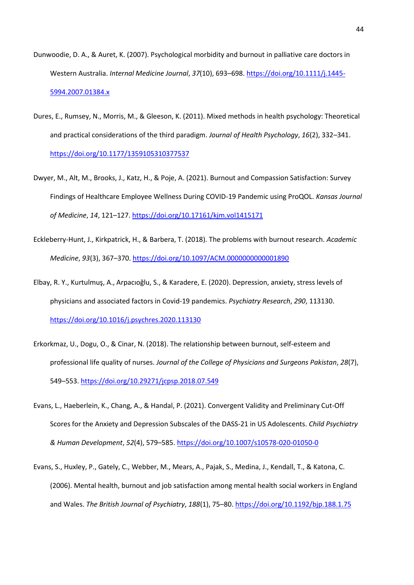- Dunwoodie, D. A., & Auret, K. (2007). Psychological morbidity and burnout in palliative care doctors in Western Australia. *Internal Medicine Journal*, *37*(10), 693–698[. https://doi.org/10.1111/j.1445-](https://doi.org/10.1111/j.1445-5994.2007.01384.x) [5994.2007.01384.x](https://doi.org/10.1111/j.1445-5994.2007.01384.x)
- Dures, E., Rumsey, N., Morris, M., & Gleeson, K. (2011). Mixed methods in health psychology: Theoretical and practical considerations of the third paradigm. *Journal of Health Psychology*, *16*(2), 332–341. <https://doi.org/10.1177/1359105310377537>
- Dwyer, M., Alt, M., Brooks, J., Katz, H., & Poje, A. (2021). Burnout and Compassion Satisfaction: Survey Findings of Healthcare Employee Wellness During COVID-19 Pandemic using ProQOL. *Kansas Journal of Medicine*, *14*, 121–127.<https://doi.org/10.17161/kjm.vol1415171>
- Eckleberry-Hunt, J., Kirkpatrick, H., & Barbera, T. (2018). The problems with burnout research. *Academic Medicine*, *93*(3), 367–370.<https://doi.org/10.1097/ACM.0000000000001890>
- Elbay, R. Y., Kurtulmuş, A., Arpacıoğlu, S., & Karadere, E. (2020). Depression, anxiety, stress levels of physicians and associated factors in Covid-19 pandemics. *Psychiatry Research*, *290*, 113130. <https://doi.org/10.1016/j.psychres.2020.113130>
- Erkorkmaz, U., Dogu, O., & Cinar, N. (2018). The relationship between burnout, self-esteem and professional life quality of nurses. *Journal of the College of Physicians and Surgeons Pakistan*, *28*(7), 549–553.<https://doi.org/10.29271/jcpsp.2018.07.549>
- Evans, L., Haeberlein, K., Chang, A., & Handal, P. (2021). Convergent Validity and Preliminary Cut-Off Scores for the Anxiety and Depression Subscales of the DASS-21 in US Adolescents. *Child Psychiatry & Human Development*, *52*(4), 579–585[. https://doi.org/10.1007/s10578-020-01050-0](https://doi.org/10.1007/s10578-020-01050-0)
- Evans, S., Huxley, P., Gately, C., Webber, M., Mears, A., Pajak, S., Medina, J., Kendall, T., & Katona, C. (2006). Mental health, burnout and job satisfaction among mental health social workers in England and Wales. *The British Journal of Psychiatry*, *188*(1), 75–80.<https://doi.org/10.1192/bjp.188.1.75>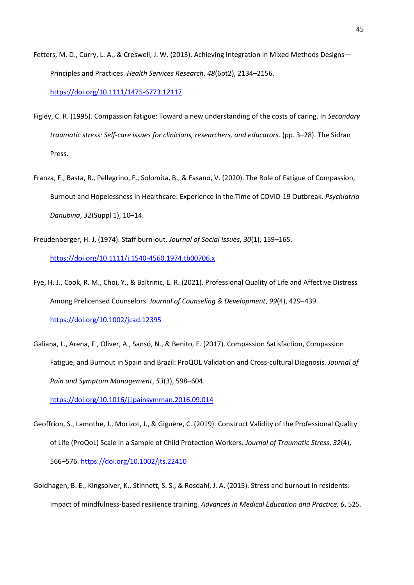Fetters, M. D., Curry, L. A., & Creswell, J. W. (2013). Achieving Integration in Mixed Methods Designs— Principles and Practices. *Health Services Research*, *48*(6pt2), 2134–2156.

<https://doi.org/10.1111/1475-6773.12117>

- Figley, C. R. (1995). Compassion fatigue: Toward a new understanding of the costs of caring. In *Secondary traumatic stress: Self-care issues for clinicians, researchers, and educators*. (pp. 3–28). The Sidran Press.
- Franza, F., Basta, R., Pellegrino, F., Solomita, B., & Fasano, V. (2020). The Role of Fatigue of Compassion, Burnout and Hopelessness in Healthcare: Experience in the Time of COVID-19 Outbreak. *Psychiatria Danubina*, *32*(Suppl 1), 10–14.
- Freudenberger, H. J. (1974). Staff burn‐out. *Journal of Social Issues*, *30*(1), 159–165. <https://doi.org/10.1111/j.1540-4560.1974.tb00706.x>
- Fye, H. J., Cook, R. M., Choi, Y., & Baltrinic, E. R. (2021). Professional Quality of Life and Affective Distress Among Prelicensed Counselors. *Journal of Counseling & Development*, *99*(4), 429–439. <https://doi.org/10.1002/jcad.12395>
- Galiana, L., Arena, F., Oliver, A., Sansó, N., & Benito, E. (2017). Compassion Satisfaction, Compassion Fatigue, and Burnout in Spain and Brazil: ProQOL Validation and Cross-cultural Diagnosis. *Journal of Pain and Symptom Management*, *53*(3), 598–604.

<https://doi.org/10.1016/j.jpainsymman.2016.09.014>

- Geoffrion, S., Lamothe, J., Morizot, J., & Giguère, C. (2019). Construct Validity of the Professional Quality of Life (ProQoL) Scale in a Sample of Child Protection Workers. *Journal of Traumatic Stress*, *32*(4), 566–576.<https://doi.org/10.1002/jts.22410>
- Goldhagen, B. E., Kingsolver, K., Stinnett, S. S., & Rosdahl, J. A. (2015). Stress and burnout in residents: Impact of mindfulness-based resilience training. *Advances in Medical Education and Practice, 6*, 525.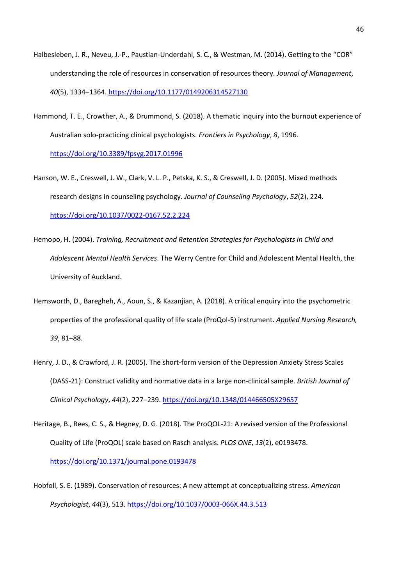- Halbesleben, J. R., Neveu, J.-P., Paustian-Underdahl, S. C., & Westman, M. (2014). Getting to the "COR" understanding the role of resources in conservation of resources theory. *Journal of Management*, *40*(5), 1334–1364.<https://doi.org/10.1177/0149206314527130>
- Hammond, T. E., Crowther, A., & Drummond, S. (2018). A thematic inquiry into the burnout experience of Australian solo-practicing clinical psychologists. *Frontiers in Psychology*, *8*, 1996. <https://doi.org/10.3389/fpsyg.2017.01996>
- Hanson, W. E., Creswell, J. W., Clark, V. L. P., Petska, K. S., & Creswell, J. D. (2005). Mixed methods research designs in counseling psychology. *Journal of Counseling Psychology*, *52*(2), 224. <https://doi.org/10.1037/0022-0167.52.2.224>
- Hemopo, H. (2004). *Training, Recruitment and Retention Strategies for Psychologists in Child and Adolescent Mental Health Services*. The Werry Centre for Child and Adolescent Mental Health, the University of Auckland.
- Hemsworth, D., Baregheh, A., Aoun, S., & Kazanjian, A. (2018). A critical enquiry into the psychometric properties of the professional quality of life scale (ProQol-5) instrument. *Applied Nursing Research, 39*, 81–88.
- Henry, J. D., & Crawford, J. R. (2005). The short-form version of the Depression Anxiety Stress Scales (DASS‐21): Construct validity and normative data in a large non‐clinical sample. *British Journal of Clinical Psychology*, *44*(2), 227–239.<https://doi.org/10.1348/014466505X29657>
- Heritage, B., Rees, C. S., & Hegney, D. G. (2018). The ProQOL-21: A revised version of the Professional Quality of Life (ProQOL) scale based on Rasch analysis. *PLOS ONE*, *13*(2), e0193478. <https://doi.org/10.1371/journal.pone.0193478>
- Hobfoll, S. E. (1989). Conservation of resources: A new attempt at conceptualizing stress. *American Psychologist*, *44*(3), 513. <https://doi.org/10.1037/0003-066X.44.3.513>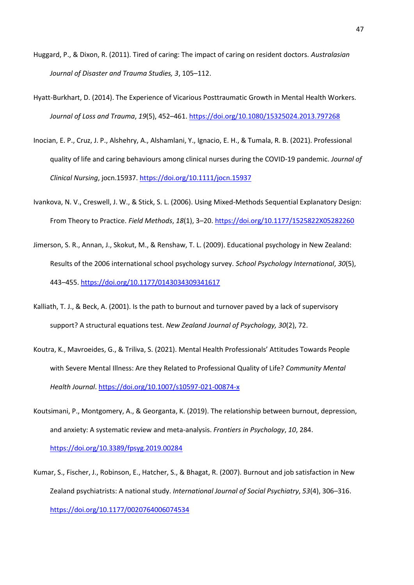- Huggard, P., & Dixon, R. (2011). Tired of caring: The impact of caring on resident doctors*. Australasian Journal of Disaster and Trauma Studies, 3*, 105–112.
- Hyatt-Burkhart, D. (2014). The Experience of Vicarious Posttraumatic Growth in Mental Health Workers. *Journal of Loss and Trauma*, *19*(5), 452–461.<https://doi.org/10.1080/15325024.2013.797268>
- Inocian, E. P., Cruz, J. P., Alshehry, A., Alshamlani, Y., Ignacio, E. H., & Tumala, R. B. (2021). Professional quality of life and caring behaviours among clinical nurses during the COVID‐19 pandemic. *Journal of Clinical Nursing*, jocn.15937.<https://doi.org/10.1111/jocn.15937>
- Ivankova, N. V., Creswell, J. W., & Stick, S. L. (2006). Using Mixed-Methods Sequential Explanatory Design: From Theory to Practice. *Field Methods*, *18*(1), 3–20.<https://doi.org/10.1177/1525822X05282260>
- Jimerson, S. R., Annan, J., Skokut, M., & Renshaw, T. L. (2009). Educational psychology in New Zealand: Results of the 2006 international school psychology survey. *School Psychology International*, *30*(5), 443–455.<https://doi.org/10.1177/0143034309341617>
- Kalliath, T. J., & Beck, A. (2001). Is the path to burnout and turnover paved by a lack of supervisory support? A structural equations test. *New Zealand Journal of Psychology, 30*(2), 72.
- Koutra, K., Mavroeides, G., & Triliva, S. (2021). Mental Health Professionals' Attitudes Towards People with Severe Mental Illness: Are they Related to Professional Quality of Life? *Community Mental Health Journal*.<https://doi.org/10.1007/s10597-021-00874-x>
- Koutsimani, P., Montgomery, A., & Georganta, K. (2019). The relationship between burnout, depression, and anxiety: A systematic review and meta-analysis. *Frontiers in Psychology*, *10*, 284. <https://doi.org/10.3389/fpsyg.2019.00284>
- Kumar, S., Fischer, J., Robinson, E., Hatcher, S., & Bhagat, R. (2007). Burnout and job satisfaction in New Zealand psychiatrists: A national study. *International Journal of Social Psychiatry*, *53*(4), 306–316. <https://doi.org/10.1177/0020764006074534>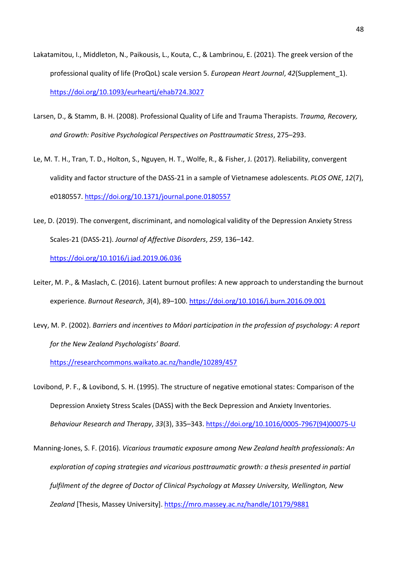- Lakatamitou, I., Middleton, N., Paikousis, L., Kouta, C., & Lambrinou, E. (2021). The greek version of the professional quality of life (ProQoL) scale version 5. *European Heart Journal*, *42*(Supplement\_1). <https://doi.org/10.1093/eurheartj/ehab724.3027>
- Larsen, D., & Stamm, B. H. (2008). Professional Quality of Life and Trauma Therapists. *Trauma, Recovery, and Growth: Positive Psychological Perspectives on Posttraumatic Stress*, 275–293.
- Le, M. T. H., Tran, T. D., Holton, S., Nguyen, H. T., Wolfe, R., & Fisher, J. (2017). Reliability, convergent validity and factor structure of the DASS-21 in a sample of Vietnamese adolescents. *PLOS ONE*, *12*(7), e0180557.<https://doi.org/10.1371/journal.pone.0180557>
- Lee, D. (2019). The convergent, discriminant, and nomological validity of the Depression Anxiety Stress Scales-21 (DASS-21). *Journal of Affective Disorders*, *259*, 136–142.

<https://doi.org/10.1016/j.jad.2019.06.036>

- Leiter, M. P., & Maslach, C. (2016). Latent burnout profiles: A new approach to understanding the burnout experience. *Burnout Research*, *3*(4), 89–100.<https://doi.org/10.1016/j.burn.2016.09.001>
- Levy, M. P. (2002). *Barriers and incentives to Māori participation in the profession of psychology: A report for the New Zealand Psychologists' Board*.

<https://researchcommons.waikato.ac.nz/handle/10289/457>

Lovibond, P. F., & Lovibond, S. H. (1995). The structure of negative emotional states: Comparison of the Depression Anxiety Stress Scales (DASS) with the Beck Depression and Anxiety Inventories. *Behaviour Research and Therapy*, *33*(3), 335–343. [https://doi.org/10.1016/0005-7967\(94\)00075-U](https://doi.org/10.1016/0005-7967(94)00075-U)

Manning-Jones, S. F. (2016). *Vicarious traumatic exposure among New Zealand health professionals: An exploration of coping strategies and vicarious posttraumatic growth: a thesis presented in partial fulfilment of the degree of Doctor of Clinical Psychology at Massey University, Wellington, New Zealand* [Thesis, Massey University][. https://mro.massey.ac.nz/handle/10179/9881](https://mro.massey.ac.nz/handle/10179/9881)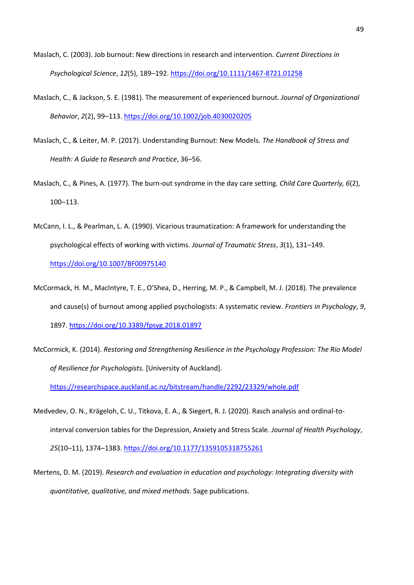- Maslach, C. (2003). Job burnout: New directions in research and intervention. *Current Directions in Psychological Science*, *12*(5), 189–192.<https://doi.org/10.1111/1467-8721.01258>
- Maslach, C., & Jackson, S. E. (1981). The measurement of experienced burnout. *Journal of Organizational Behavior*, *2*(2), 99–113.<https://doi.org/10.1002/job.4030020205>
- Maslach, C., & Leiter, M. P. (2017). Understanding Burnout: New Models. *The Handbook of Stress and Health: A Guide to Research and Practice*, 36–56.
- Maslach, C., & Pines, A. (1977). The burn-out syndrome in the day care setting. *Child Care Quarterly, 6*(2), 100–113.
- McCann, I. L., & Pearlman, L. A. (1990). Vicarious traumatization: A framework for understanding the psychological effects of working with victims. *Journal of Traumatic Stress*, *3*(1), 131–149. <https://doi.org/10.1007/BF00975140>
- McCormack, H. M., MacIntyre, T. E., O'Shea, D., Herring, M. P., & Campbell, M. J. (2018). The prevalence and cause(s) of burnout among applied psychologists: A systematic review. *Frontiers in Psychology*, *9*, 1897[. https://doi.org/10.3389/fpsyg.2018.01897](https://doi.org/10.3389/fpsyg.2018.01897)
- McCormick, K. (2014). *Restoring and Strengthening Resilience in the Psychology Profession: The Rio Model of Resilience for Psychologists.* [University of Auckland].

<https://researchspace.auckland.ac.nz/bitstream/handle/2292/23329/whole.pdf>

- Medvedev, O. N., Krägeloh, C. U., Titkova, E. A., & Siegert, R. J. (2020). Rasch analysis and ordinal-tointerval conversion tables for the Depression, Anxiety and Stress Scale. *Journal of Health Psychology*, *25*(10–11), 1374–1383.<https://doi.org/10.1177/1359105318755261>
- Mertens, D. M. (2019). *Research and evaluation in education and psychology: Integrating diversity with quantitative, qualitative, and mixed methods*. Sage publications.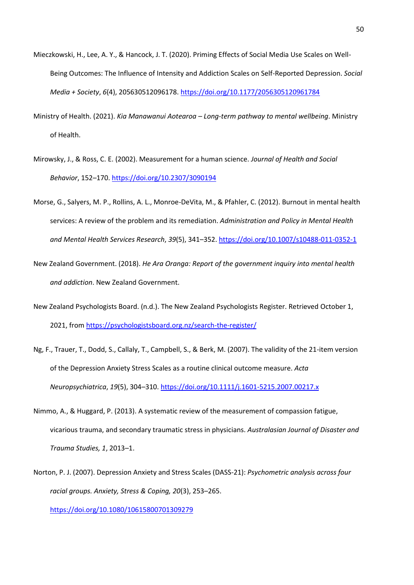- Mieczkowski, H., Lee, A. Y., & Hancock, J. T. (2020). Priming Effects of Social Media Use Scales on Well-Being Outcomes: The Influence of Intensity and Addiction Scales on Self-Reported Depression. *Social Media + Society*, *6*(4), 205630512096178[. https://doi.org/10.1177/2056305120961784](https://doi.org/10.1177/2056305120961784)
- Ministry of Health. (2021). *Kia Manawanui Aotearoa – Long-term pathway to mental wellbeing*. Ministry of Health.
- Mirowsky, J., & Ross, C. E. (2002). Measurement for a human science. *Journal of Health and Social Behavior*, 152–170.<https://doi.org/10.2307/3090194>
- Morse, G., Salyers, M. P., Rollins, A. L., Monroe-DeVita, M., & Pfahler, C. (2012). Burnout in mental health services: A review of the problem and its remediation. *Administration and Policy in Mental Health and Mental Health Services Research*, *39*(5), 341–352[. https://doi.org/10.1007/s10488-011-0352-1](https://doi.org/10.1007/s10488-011-0352-1)
- New Zealand Government. (2018). *He Ara Oranga: Report of the government inquiry into mental health and addiction*. New Zealand Government.
- New Zealand Psychologists Board. (n.d.). The New Zealand Psychologists Register. Retrieved October 1, 2021, from<https://psychologistsboard.org.nz/search-the-register/>
- Ng, F., Trauer, T., Dodd, S., Callaly, T., Campbell, S., & Berk, M. (2007). The validity of the 21-item version of the Depression Anxiety Stress Scales as a routine clinical outcome measure. *Acta Neuropsychiatrica*, *19*(5), 304–310.<https://doi.org/10.1111/j.1601-5215.2007.00217.x>
- Nimmo, A., & Huggard, P. (2013). A systematic review of the measurement of compassion fatigue, vicarious trauma, and secondary traumatic stress in physicians. *Australasian Journal of Disaster and Trauma Studies, 1*, 2013–1.
- Norton, P. J. (2007). Depression Anxiety and Stress Scales (DASS-21): *Psychometric analysis across four racial groups. Anxiety, Stress & Coping, 20*(3), 253–265.

<https://doi.org/10.1080/10615800701309279>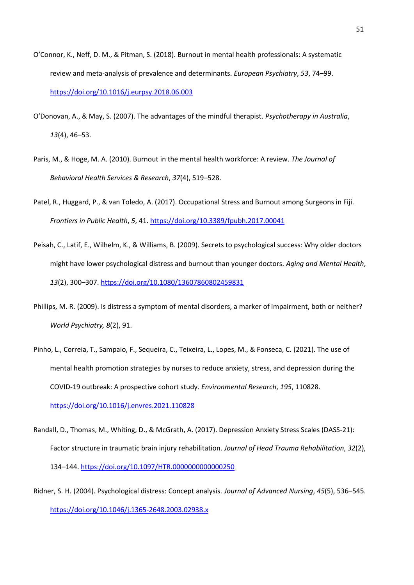- O'Connor, K., Neff, D. M., & Pitman, S. (2018). Burnout in mental health professionals: A systematic review and meta-analysis of prevalence and determinants. *European Psychiatry*, *53*, 74–99. <https://doi.org/10.1016/j.eurpsy.2018.06.003>
- O'Donovan, A., & May, S. (2007). The advantages of the mindful therapist. *Psychotherapy in Australia*, *13*(4), 46–53.
- Paris, M., & Hoge, M. A. (2010). Burnout in the mental health workforce: A review. *The Journal of Behavioral Health Services & Research*, *37*(4), 519–528.
- Patel, R., Huggard, P., & van Toledo, A. (2017). Occupational Stress and Burnout among Surgeons in Fiji. *Frontiers in Public Health*, *5*, 41.<https://doi.org/10.3389/fpubh.2017.00041>
- Peisah, C., Latif, E., Wilhelm, K., & Williams, B. (2009). Secrets to psychological success: Why older doctors might have lower psychological distress and burnout than younger doctors. *Aging and Mental Health*, *13*(2), 300–307.<https://doi.org/10.1080/13607860802459831>
- Phillips, M. R. (2009). Is distress a symptom of mental disorders, a marker of impairment, both or neither? *World Psychiatry, 8*(2), 91.
- Pinho, L., Correia, T., Sampaio, F., Sequeira, C., Teixeira, L., Lopes, M., & Fonseca, C. (2021). The use of mental health promotion strategies by nurses to reduce anxiety, stress, and depression during the COVID-19 outbreak: A prospective cohort study. *Environmental Research*, *195*, 110828. <https://doi.org/10.1016/j.envres.2021.110828>
- Randall, D., Thomas, M., Whiting, D., & McGrath, A. (2017). Depression Anxiety Stress Scales (DASS-21): Factor structure in traumatic brain injury rehabilitation. *Journal of Head Trauma Rehabilitation*, *32*(2), 134–144.<https://doi.org/10.1097/HTR.0000000000000250>
- Ridner, S. H. (2004). Psychological distress: Concept analysis. *Journal of Advanced Nursing*, *45*(5), 536–545. <https://doi.org/10.1046/j.1365-2648.2003.02938.x>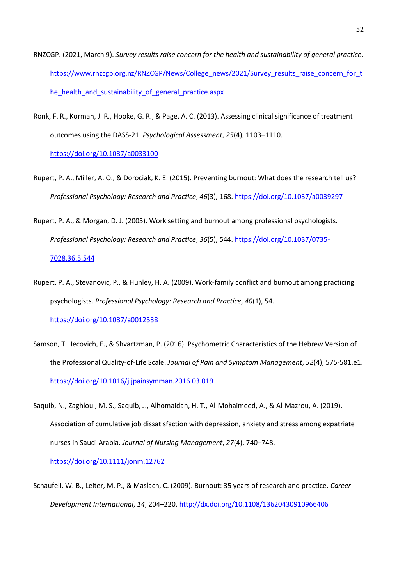- RNZCGP. (2021, March 9). *Survey results raise concern for the health and sustainability of general practice*. [https://www.rnzcgp.org.nz/RNZCGP/News/College\\_news/2021/Survey\\_results\\_raise\\_concern\\_for\\_t](https://www.rnzcgp.org.nz/RNZCGP/News/College_news/2021/Survey_results_raise_concern_for_the_health_and_sustainability_of_general_practice.aspx) [he\\_health\\_and\\_sustainability\\_of\\_general\\_practice.aspx](https://www.rnzcgp.org.nz/RNZCGP/News/College_news/2021/Survey_results_raise_concern_for_the_health_and_sustainability_of_general_practice.aspx)
- Ronk, F. R., Korman, J. R., Hooke, G. R., & Page, A. C. (2013). Assessing clinical significance of treatment outcomes using the DASS-21. *Psychological Assessment*, *25*(4), 1103–1110. <https://doi.org/10.1037/a0033100>
- Rupert, P. A., Miller, A. O., & Dorociak, K. E. (2015). Preventing burnout: What does the research tell us? *Professional Psychology: Research and Practice*, *46*(3), 168[. https://doi.org/10.1037/a0039297](https://doi.org/10.1037/a0039297)
- Rupert, P. A., & Morgan, D. J. (2005). Work setting and burnout among professional psychologists. *Professional Psychology: Research and Practice*, *36*(5), 544[. https://doi.org/10.1037/0735-](https://doi.org/10.1037/0735-7028.36.5.544) [7028.36.5.544](https://doi.org/10.1037/0735-7028.36.5.544)
- Rupert, P. A., Stevanovic, P., & Hunley, H. A. (2009). Work-family conflict and burnout among practicing psychologists. *Professional Psychology: Research and Practice*, *40*(1), 54. <https://doi.org/10.1037/a0012538>
- Samson, T., Iecovich, E., & Shvartzman, P. (2016). Psychometric Characteristics of the Hebrew Version of the Professional Quality-of-Life Scale. *Journal of Pain and Symptom Management*, *52*(4), 575-581.e1. <https://doi.org/10.1016/j.jpainsymman.2016.03.019>
- Saquib, N., Zaghloul, M. S., Saquib, J., Alhomaidan, H. T., Al‐Mohaimeed, A., & Al‐Mazrou, A. (2019). Association of cumulative job dissatisfaction with depression, anxiety and stress among expatriate nurses in Saudi Arabia. *Journal of Nursing Management*, *27*(4), 740–748.

<https://doi.org/10.1111/jonm.12762>

Schaufeli, W. B., Leiter, M. P., & Maslach, C. (2009). Burnout: 35 years of research and practice. *Career Development International*, *14*, 204–220[. http://dx.doi.org/10.1108/13620430910966406](http://dx.doi.org/10.1108/13620430910966406)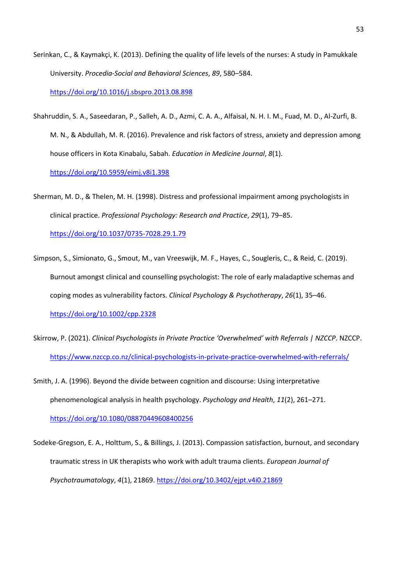Serinkan, C., & Kaymakçi, K. (2013). Defining the quality of life levels of the nurses: A study in Pamukkale University. *Procedia-Social and Behavioral Sciences*, *89*, 580–584. <https://doi.org/10.1016/j.sbspro.2013.08.898>

Shahruddin, S. A., Saseedaran, P., Salleh, A. D., Azmi, C. A. A., Alfaisal, N. H. I. M., Fuad, M. D., Al-Zurfi, B. M. N., & Abdullah, M. R. (2016). Prevalence and risk factors of stress, anxiety and depression among house officers in Kota Kinabalu, Sabah. *Education in Medicine Journal*, *8*(1). <https://doi.org/10.5959/eimj.v8i1.398>

Sherman, M. D., & Thelen, M. H. (1998). Distress and professional impairment among psychologists in clinical practice. *Professional Psychology: Research and Practice*, *29*(1), 79–85. <https://doi.org/10.1037/0735-7028.29.1.79>

- Simpson, S., Simionato, G., Smout, M., van Vreeswijk, M. F., Hayes, C., Sougleris, C., & Reid, C. (2019). Burnout amongst clinical and counselling psychologist: The role of early maladaptive schemas and coping modes as vulnerability factors. *Clinical Psychology & Psychotherapy*, *26*(1), 35–46. <https://doi.org/10.1002/cpp.2328>
- Skirrow, P. (2021). *Clinical Psychologists in Private Practice 'Overwhelmed' with Referrals | NZCCP*. NZCCP. <https://www.nzccp.co.nz/clinical-psychologists-in-private-practice-overwhelmed-with-referrals/>
- Smith, J. A. (1996). Beyond the divide between cognition and discourse: Using interpretative phenomenological analysis in health psychology. *Psychology and Health*, *11*(2), 261–271. <https://doi.org/10.1080/08870449608400256>
- Sodeke-Gregson, E. A., Holttum, S., & Billings, J. (2013). Compassion satisfaction, burnout, and secondary traumatic stress in UK therapists who work with adult trauma clients. *European Journal of Psychotraumatology*, *4*(1), 21869.<https://doi.org/10.3402/ejpt.v4i0.21869>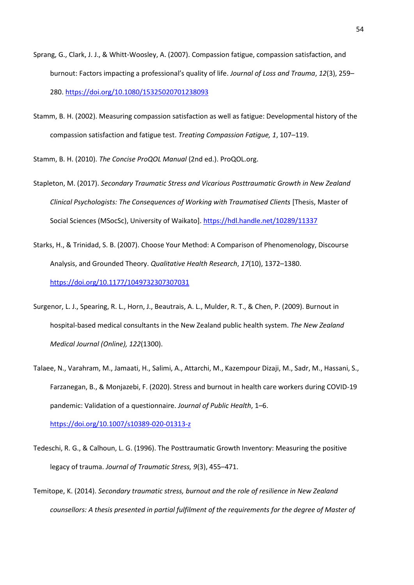- Sprang, G., Clark, J. J., & Whitt-Woosley, A. (2007). Compassion fatigue, compassion satisfaction, and burnout: Factors impacting a professional's quality of life. *Journal of Loss and Trauma*, *12*(3), 259– 280.<https://doi.org/10.1080/15325020701238093>
- Stamm, B. H. (2002). Measuring compassion satisfaction as well as fatigue: Developmental history of the compassion satisfaction and fatigue test. *Treating Compassion Fatigue, 1*, 107–119.

Stamm, B. H. (2010). *The Concise ProQOL Manual* (2nd ed.). ProQOL.org.

- Stapleton, M. (2017). *Secondary Traumatic Stress and Vicarious Posttraumatic Growth in New Zealand Clinical Psychologists: The Consequences of Working with Traumatised Clients* [Thesis, Master of Social Sciences (MSocSc), University of Waikato][. https://hdl.handle.net/10289/11337](https://hdl.handle.net/10289/11337)
- Starks, H., & Trinidad, S. B. (2007). Choose Your Method: A Comparison of Phenomenology, Discourse Analysis, and Grounded Theory. *Qualitative Health Research*, *17*(10), 1372–1380. <https://doi.org/10.1177/1049732307307031>
- Surgenor, L. J., Spearing, R. L., Horn, J., Beautrais, A. L., Mulder, R. T., & Chen, P. (2009). Burnout in hospital-based medical consultants in the New Zealand public health system. *The New Zealand Medical Journal (Online), 122*(1300).
- Talaee, N., Varahram, M., Jamaati, H., Salimi, A., Attarchi, M., Kazempour Dizaji, M., Sadr, M., Hassani, S., Farzanegan, B., & Monjazebi, F. (2020). Stress and burnout in health care workers during COVID-19 pandemic: Validation of a questionnaire. *Journal of Public Health*, 1–6. <https://doi.org/10.1007/s10389-020-01313-z>

Tedeschi, R. G., & Calhoun, L. G. (1996). The Posttraumatic Growth Inventory: Measuring the positive legacy of trauma. *Journal of Traumatic Stress, 9*(3), 455–471.

Temitope, K. (2014). *Secondary traumatic stress, burnout and the role of resilience in New Zealand counsellors: A thesis presented in partial fulfilment of the requirements for the degree of Master of*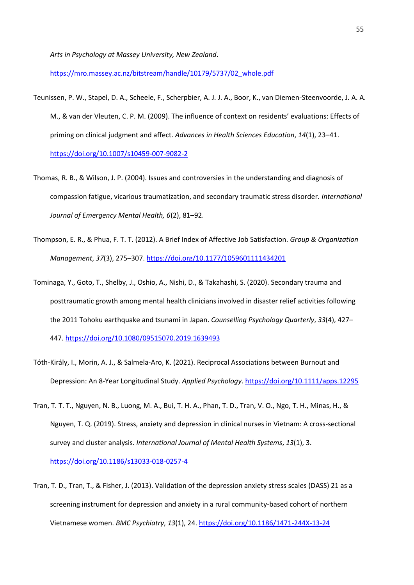*Arts in Psychology at Massey University, New Zealand*.

[https://mro.massey.ac.nz/bitstream/handle/10179/5737/02\\_whole.pdf](https://mro.massey.ac.nz/bitstream/handle/10179/5737/02_whole.pdf)

- Teunissen, P. W., Stapel, D. A., Scheele, F., Scherpbier, A. J. J. A., Boor, K., van Diemen-Steenvoorde, J. A. A. M., & van der Vleuten, C. P. M. (2009). The influence of context on residents' evaluations: Effects of priming on clinical judgment and affect. *Advances in Health Sciences Education*, *14*(1), 23–41. <https://doi.org/10.1007/s10459-007-9082-2>
- Thomas, R. B., & Wilson, J. P. (2004). Issues and controversies in the understanding and diagnosis of compassion fatigue, vicarious traumatization, and secondary traumatic stress disorder. *International Journal of Emergency Mental Health, 6*(2), 81–92.
- Thompson, E. R., & Phua, F. T. T. (2012). A Brief Index of Affective Job Satisfaction. *Group & Organization Management*, *37*(3), 275–307[. https://doi.org/10.1177/1059601111434201](https://doi.org/10.1177/1059601111434201)
- Tominaga, Y., Goto, T., Shelby, J., Oshio, A., Nishi, D., & Takahashi, S. (2020). Secondary trauma and posttraumatic growth among mental health clinicians involved in disaster relief activities following the 2011 Tohoku earthquake and tsunami in Japan. *Counselling Psychology Quarterly*, *33*(4), 427– 447.<https://doi.org/10.1080/09515070.2019.1639493>
- Tóth‐Király, I., Morin, A. J., & Salmela‐Aro, K. (2021). Reciprocal Associations between Burnout and Depression: An 8‐Year Longitudinal Study. *Applied Psychology*[. https://doi.org/10.1111/apps.12295](https://doi.org/10.1111/apps.12295)
- Tran, T. T. T., Nguyen, N. B., Luong, M. A., Bui, T. H. A., Phan, T. D., Tran, V. O., Ngo, T. H., Minas, H., & Nguyen, T. Q. (2019). Stress, anxiety and depression in clinical nurses in Vietnam: A cross-sectional survey and cluster analysis. *International Journal of Mental Health Systems*, *13*(1), 3. <https://doi.org/10.1186/s13033-018-0257-4>
- Tran, T. D., Tran, T., & Fisher, J. (2013). Validation of the depression anxiety stress scales (DASS) 21 as a screening instrument for depression and anxiety in a rural community-based cohort of northern Vietnamese women. *BMC Psychiatry*, *13*(1), 24.<https://doi.org/10.1186/1471-244X-13-24>